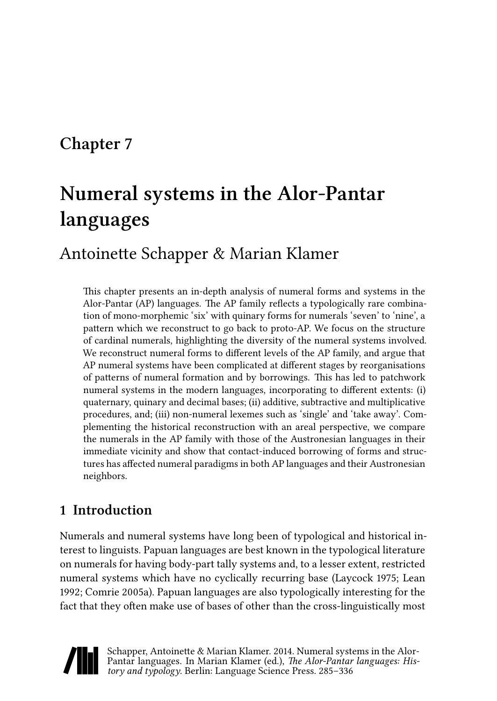## **Chapter 7**

# **Numeral systems in the Alor-Pantar languages**

## Antoinette Schapper & Marian Klamer

This chapter presents an in-depth analysis of numeral forms and systems in the Alor-Pantar (AP) languages. The AP family reflects a typologically rare combination of mono-morphemic 'six' with quinary forms for numerals 'seven' to 'nine', a pattern which we reconstruct to go back to proto-AP. We focus on the structure of cardinal numerals, highlighting the diversity of the numeral systems involved. We reconstruct numeral forms to different levels of the AP family, and argue that AP numeral systems have been complicated at different stages by reorganisations of patterns of numeral formation and by borrowings. This has led to patchwork numeral systems in the modern languages, incorporating to different extents: (i) quaternary, quinary and decimal bases; (ii) additive, subtractive and multiplicative procedures, and; (iii) non-numeral lexemes such as 'single' and 'take away'. Complementing the historical reconstruction with an areal perspective, we compare the numerals in the AP family with those of the Austronesian languages in their immediate vicinity and show that contact-induced borrowing of forms and structures has affected numeral paradigms in both AP languages and their Austronesian neighbors.

## **1 Introduction**

Numerals and numeral systems have long been of typological and historical interest to linguists. Papuan languages are best known in the typological literature on numerals for having body-part tally systems and, to a lesser extent, restricted numeral systems which have no cyclically recurring base [\(Laycock 1975](#page-49-0); [Lean](#page-50-0) [1992;](#page-50-0) [Comrie 2005a](#page-48-0)). Papuan languages are also typologically interesting for the fact that they often make use of bases of other than the cross-linguistically most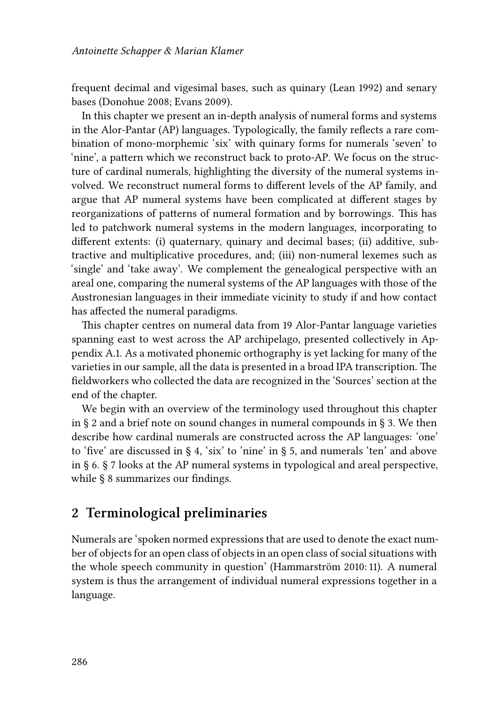frequent decimal and vigesimal bases, such as quinary([Lean 1992\)](#page-50-0) and senary bases [\(Donohue 2008](#page-48-1); [Evans 2009\)](#page-48-2).

In this chapter we present an in-depth analysis of numeral forms and systems in the Alor-Pantar (AP) languages. Typologically, the family reflects a rare combination of mono-morphemic 'six' with quinary forms for numerals 'seven' to 'nine', a pattern which we reconstruct back to proto-AP. We focus on the structure of cardinal numerals, highlighting the diversity of the numeral systems involved. We reconstruct numeral forms to different levels of the AP family, and argue that AP numeral systems have been complicated at different stages by reorganizations of patterns of numeral formation and by borrowings. This has led to patchwork numeral systems in the modern languages, incorporating to different extents: (i) quaternary, quinary and decimal bases; (ii) additive, subtractive and multiplicative procedures, and; (iii) non-numeral lexemes such as 'single' and 'take away'. We complement the genealogical perspective with an areal one, comparing the numeral systems of the AP languages with those of the Austronesian languages in their immediate vicinity to study if and how contact has affected the numeral paradigms.

This chapter centres on numeral data from 19 Alor-Pantar language varieties spanning east to west across the AP archipelago, presented collectively in Appendix [A.1](#page-39-0). As a motivated phonemic orthography is yet lacking for many of the varieties in our sample, all the data is presented in a broad IPA transcription. The fieldworkers who collected the data are recognized in the 'Sources' section at the end of the chapter.

We begin with an overview of the terminology used throughout this chapter in § [2](#page-1-0) and a brief note on sound changes in numeral compounds in § [3](#page-4-0). We then describe how cardinal numerals are constructed across the AP languages: 'one' to 'five' are discussed in § [4,](#page-5-0) 'six' to 'nine' in § [5,](#page-8-0) and numerals 'ten' and above in § [6](#page-20-0). § [7](#page-25-0) looks at the AP numeral systems in typological and areal perspective, while § [8](#page-33-0) summarizes our findings.

## <span id="page-1-0"></span>**2 Terminological preliminaries**

Numerals are 'spoken normed expressions that are used to denote the exact number of objects for an open class of objects in an open class of social situations with the whole speech community in question' [\(Hammarström 2010](#page-49-1): 11). A numeral system is thus the arrangement of individual numeral expressions together in a language.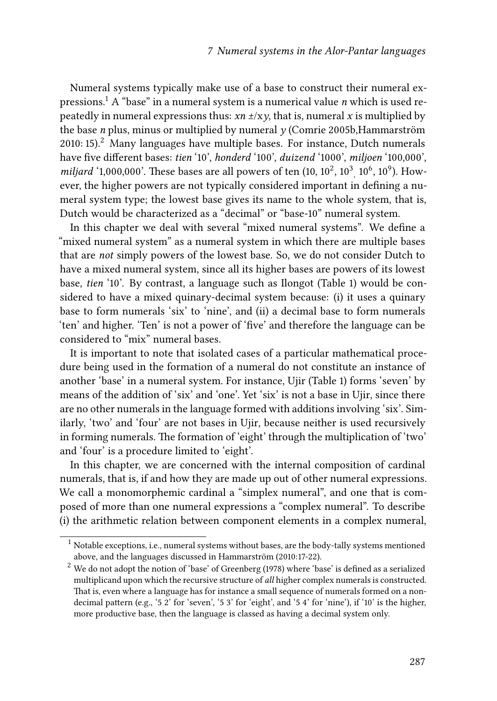Numeral systems typically make use of a base to construct their numeral expressions.<sup>1</sup> A "base" in a numeral system is a numerical value *n* which is used repeatedly in numeral expressions thus:  $x_n \pm \sqrt{x} \gamma$ , that is, numeral x is multiplied by the base *n* plus, minus or multiplied by numeral  $\gamma$  [\(Comrie 2005b](#page-48-3), Hammarström  $2010: 15$  $2010: 15$ . Many languages have multiple bases. For instance, Dutch numerals have five different bases: *tien* '10', *honderd* '100', *duizend* '1000', *miljoen* '100,000', *miljard* '1,000,000'. These bases are all powers of ten  $(10, 10^2, 10^3, 10^6, 10^9)$ . However, the higher powers are not typically considered important in defining a numeral system type; the lowest base gives its name to the whole system, that is, Dutch would be characterized as a "decimal" or "base-10" numeral system.

In this chapter we deal with several "mixed numeral systems". We define a "mixed numeral system" as a numeral system in which there are multiple bases that are *not* simply powers of the lowest base. So, we do not consider Dutch to have a mixed numeral system, since all its higher bases are powers of its lowest base, *tien* '10'. By contrast, a language such as Ilongot (Table [1\)](#page-3-0) would be considered to have a mixed quinary-decimal system because: (i) it uses a quinary base to form numerals 'six' to 'nine', and (ii) a decimal base to form numerals 'ten' and higher. 'Ten' is not a power of 'five' and therefore the language can be considered to "mix" numeral bases.

It is important to note that isolated cases of a particular mathematical procedure being used in the formation of a numeral do not constitute an instance of another 'base' in a numeral system. For instance, Ujir (Table [1](#page-3-0)) forms 'seven' by means of the addition of 'six' and 'one'. Yet 'six' is not a base in Ujir, since there are no other numerals in the language formed with additions involving 'six'. Similarly, 'two' and 'four' are not bases in Ujir, because neither is used recursively in forming numerals. The formation of 'eight' through the multiplication of 'two' and 'four' is a procedure limited to 'eight'.

In this chapter, we are concerned with the internal composition of cardinal numerals, that is, if and how they are made up out of other numeral expressions. We call a monomorphemic cardinal a "simplex numeral", and one that is composed of more than one numeral expressions a "complex numeral". To describe (i) the arithmetic relation between component elements in a complex numeral,

 $1$  Notable exceptions, i.e., numeral systems without bases, are the body-tally systems mentioned above, and the languages discussed in [Hammarström \(2010:](#page-49-1)17-22).

 $2$  We do not adopt the notion of 'base' of [Greenberg \(1978\)](#page-48-4) where 'base' is defined as a serialized multiplicand upon which the recursive structure of *all* higher complex numerals is constructed. That is, even where a language has for instance a small sequence of numerals formed on a nondecimal pattern (e.g., '5 2' for 'seven', '5 3' for 'eight', and '5 4' for 'nine'), if '10' is the higher, more productive base, then the language is classed as having a decimal system only.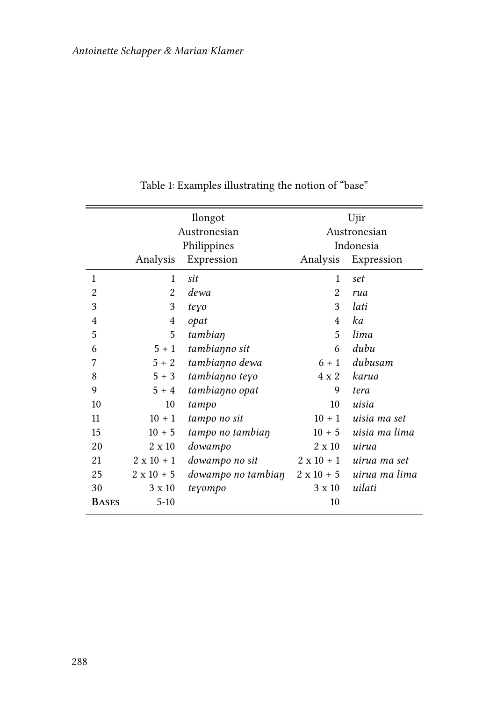|                |                   | Ilongot            |                | Ujir                            |
|----------------|-------------------|--------------------|----------------|---------------------------------|
|                |                   | Austronesian       | Austronesian   |                                 |
|                | Philippines       |                    | Indonesia      |                                 |
|                | Analysis          | Expression         | Analysis       | Expression                      |
| $\mathbf{1}$   | 1                 | sit                | $\mathbf{1}$   | set                             |
| $\overline{2}$ | $\overline{2}$    | dewa               | $\mathfrak{D}$ | rua                             |
| 3              | 3                 | teyo               | 3              | lati                            |
| 4              | 4                 | opat               | 4              | ka                              |
| 5              | 5                 | tambian            | 5              | lima                            |
| 6              | $5 + 1$           | tambianno sit      | 6              | dubu                            |
| 7              | $5 + 2$           | tambianno dewa     | $6 + 1$        | dubusam                         |
| 8              | $5 + 3$           | tambianno teyo     | $4 \times 2$   | karua                           |
| 9              | $5 + 4$           | tambianno opat     | 9              | tera                            |
| 10             | 10                | tampo              | 10             | uisia                           |
| 11             | $10 + 1$          | tampo no sit       | $10 + 1$       | uisia ma set                    |
| 15             | $10 + 5$          | tampo no tambian   | $10 + 5$       | uisia ma lima                   |
| 20             | $2 \times 10$     | dowampo            | $2 \times 10$  | uirua                           |
| 21             | $2 \times 10 + 1$ | dowampo no sit     |                | $2 \times 10 + 1$ uirua ma set  |
| 25             | $2 \times 10 + 5$ | dowampo no tambian |                | $2 \times 10 + 5$ uirua ma lima |
| 30             | 3 x 10            | teyompo            | 3 x 10         | uilati                          |
| <b>BASES</b>   | $5 - 10$          |                    | 10             |                                 |
|                |                   |                    |                |                                 |

<span id="page-3-0"></span>Table 1: Examples illustrating the notion of "base"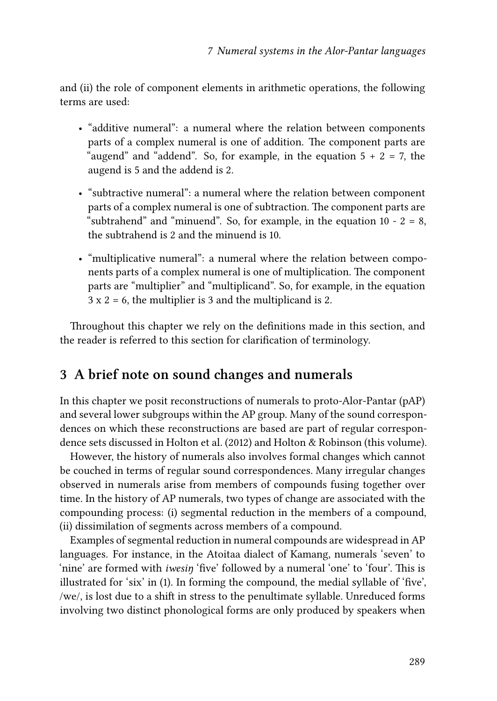and (ii) the role of component elements in arithmetic operations, the following terms are used:

- "additive numeral": a numeral where the relation between components parts of a complex numeral is one of addition. The component parts are "augend" and "addend". So, for example, in the equation  $5 + 2 = 7$ , the augend is 5 and the addend is 2.
- "subtractive numeral": a numeral where the relation between component parts of a complex numeral is one of subtraction. The component parts are "subtrahend" and "minuend". So, for example, in the equation  $10 - 2 = 8$ , the subtrahend is 2 and the minuend is 10.
- "multiplicative numeral": a numeral where the relation between components parts of a complex numeral is one of multiplication. The component parts are "multiplier" and "multiplicand". So, for example, in the equation  $3 \times 2 = 6$ , the multiplier is 3 and the multiplicand is 2.

Throughout this chapter we rely on the definitions made in this section, and the reader is referred to this section for clarification of terminology.

#### <span id="page-4-0"></span>**3 A brief note on sound changes and numerals**

In this chapter we posit reconstructions of numerals to proto-Alor-Pantar (pAP) and several lower subgroups within the AP group. Many of the sound correspondences on which these reconstructions are based are part of regular correspondence sets discussed in [Holton et al. \(2012\)](#page-49-2) and [Holton & Robinson \(this volume\).](#page-49-3)

However, the history of numerals also involves formal changes which cannot be couched in terms of regular sound correspondences. Many irregular changes observed in numerals arise from members of compounds fusing together over time. In the history of AP numerals, two types of change are associated with the compounding process: (i) segmental reduction in the members of a compound, (ii) dissimilation of segments across members of a compound.

Examples of segmental reduction in numeral compounds are widespread in AP languages. For instance, in the Atoitaa dialect of Kamang, numerals 'seven' to 'nine' are formed with *iwesiŋ* 'five' followed by a numeral 'one' to 'four'. This is illustrated for 'six' in [\(1](#page-5-1)). In forming the compound, the medial syllable of 'five', /we/, is lost due to a shift in stress to the penultimate syllable. Unreduced forms involving two distinct phonological forms are only produced by speakers when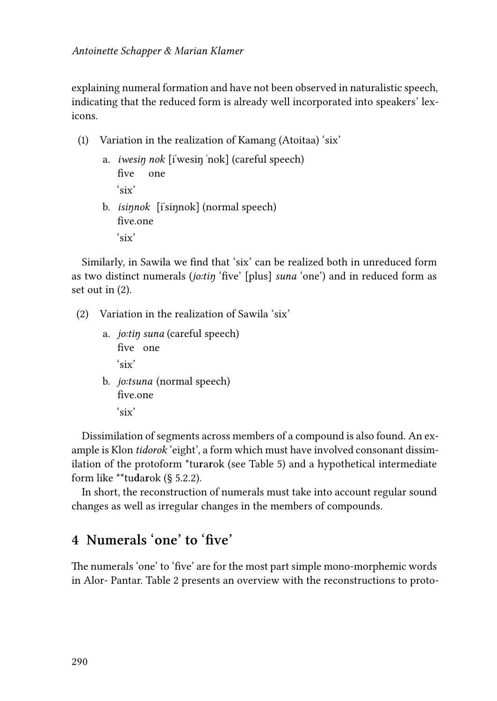explaining numeral formation and have not been observed in naturalistic speech, indicating that the reduced form is already well incorporated into speakers' lexicons.

- <span id="page-5-1"></span>(1) Variation in the realization of Kamang (Atoitaa) 'six'
	- a. *iwesiŋ nok* [iˈwesiŋ ˈnok] (careful speech) five one 'six' b. *isiŋnok* [iˈsiŋnok] (normal speech) five.one 'six'

Similarly, in Sawila we find that 'six' can be realized both in unreduced form as two distinct numerals (*joːtiŋ* 'five' [plus] *suna* 'one') and in reduced form as set out in [\(2](#page-5-2)).

- <span id="page-5-2"></span>(2) Variation in the realization of Sawila 'six'
	- a. *joːtiŋ suna* (careful speech) five one 'six'
	- b. *joːtsuna* (normal speech) five one 'six'

Dissimilation of segments across members of a compound is also found. An example is Klon *tidorok* 'eight', a form which must have involved consonant dissimilation of the protoform \*tu**r**a**r**ok (see Table [5\)](#page-14-0) and a hypothetical intermediate form like \*\*tu**d**a**r**ok (§ [5.2.2](#page-14-1)).

In short, the reconstruction of numerals must take into account regular sound changes as well as irregular changes in the members of compounds.

## <span id="page-5-0"></span>**4 Numerals 'one' to 'five'**

The numerals 'one' to 'five' are for the most part simple mono-morphemic words in Alor- Pantar. Table [2](#page-7-0) presents an overview with the reconstructions to proto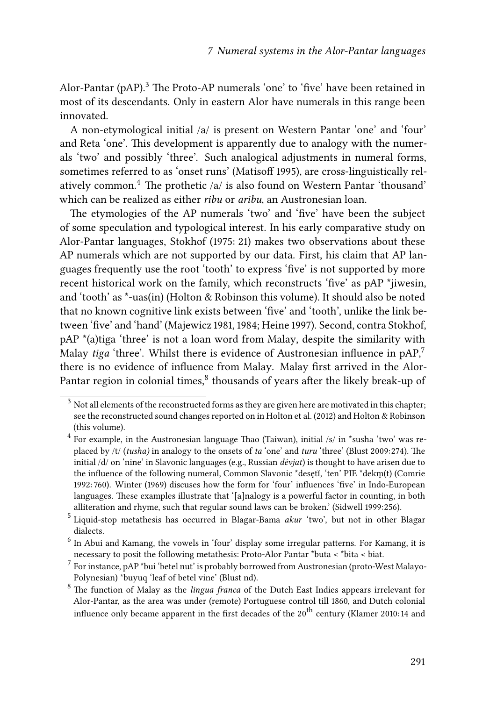Alor-Pantar (pAP).<sup>3</sup> The Proto-AP numerals 'one' to 'five' have been retained in most of its descendants. Only in eastern Alor have numerals in this range been innovated.

A non-etymological initial /a/ is present on Western Pantar 'one' and 'four' and Reta 'one'. This development is apparently due to analogy with the numerals 'two' and possibly 'three'. Such analogical adjustments in numeral forms, sometimes referred to as 'onset runs'([Matisoff 1995](#page-50-1)), are cross-linguistically relatively common.<sup>4</sup> The prothetic  $\langle a \rangle$  is also found on Western Pantar 'thousand' which can be realized as either *ribu* or *aribu*, an Austronesian loan.

The etymologies of the AP numerals 'two' and 'five' have been the subject of some speculation and typological interest. In his early comparative study on Alor-Pantar languages, [Stokhof \(1975:](#page-51-0) 21) makes two observations about these AP numerals which are not supported by our data. First, his claim that AP languages frequently use the root 'tooth' to express 'five' is not supported by more recent historical work on the family, which reconstructs 'five' as pAP \*jiwesin, and 'tooth' as \*-uas(in)([Holton & Robinson this volume\)](#page-49-3). It should also be noted that no known cognitive link exists between 'five' and 'tooth', unlike the link between 'five' and 'hand'([Majewicz 1981](#page-50-2), [1984](#page-50-3); [Heine 1997\)](#page-49-4). Second, contra Stokhof, pAP \*(a)tiga 'three' is not a loan word from Malay, despite the similarity with Malay *tiga* 'three'. Whilst there is evidence of Austronesian influence in pAP,<sup>7</sup> there is no evidence of influence from Malay. Malay first arrived in the Alor-Pantar region in colonial times, $^8$  thousands of years after the likely break-up of

 $^3$  Not all elements of the reconstructed forms as they are given here are motivated in this chapter; see the reconstructed sound changes reported on in [Holton et al. \(2012\)](#page-49-2) and [Holton & Robinson](#page-49-3) [\(this volume\).](#page-49-3)

 $<sup>4</sup>$  For example, in the Austronesian language Thao (Taiwan), initial /s/ in \*susha 'two' was re-</sup> placed by /t/ (*tusha)* in analogy to the onsets of *ta* 'one' and *turu* 'three' [\(Blust 2009:](#page-48-5)274). The initial /d/ on 'nine' in Slavonic languages (e.g., Russian *dévjat*) is thought to have arisen due to the influence of the following numeral, Common Slavonic \*desetĭ, 'ten' PIE \*dekm(t) [\(Comrie](#page-48-6) [1992:](#page-48-6) 760). [Winter \(1969\)](#page-51-1) discuses how the form for 'four' influences 'five' in Indo-European languages. These examples illustrate that '[a]nalogy is a powerful factor in counting, in both alliteration and rhyme, such that regular sound laws can be broken.' [\(Sidwell 1999:](#page-51-2)256).

<sup>5</sup> Liquid-stop metathesis has occurred in Blagar-Bama *akur* 'two', but not in other Blagar dialects.

<sup>&</sup>lt;sup>6</sup> In Abui and Kamang, the vowels in 'four' display some irregular patterns. For Kamang, it is necessary to posit the following metathesis: Proto-Alor Pantar \*buta < \*bita < biat.

 $^7$  For instance, pAP \*bui 'betel nut' is probably borrowed from Austronesian (proto-West Malayo-Polynesian) \*buyuq 'leaf of betel vine' [\(Blust nd\)](#page-48-7).

<sup>8</sup> The function of Malay as the *lingua franca* of the Dutch East Indies appears irrelevant for Alor-Pantar, as the area was under (remote) Portuguese control till 1860, and Dutch colonial influence only became apparent in the first decades of the  $20^{th}$  century [\(Klamer 2010:](#page-49-5)14 and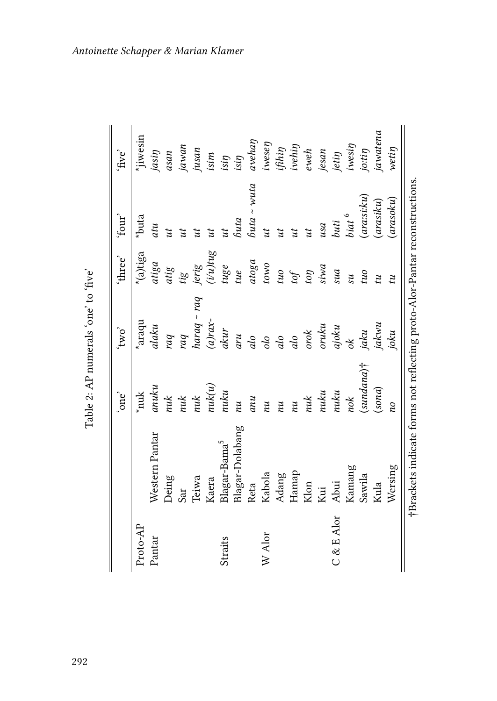<span id="page-7-0"></span>

| Proto-AP     |                          | `one           | $\omega_{\mathbf{M}}$ | three'                  | 'four'            | 'five'          |
|--------------|--------------------------|----------------|-----------------------|-------------------------|-------------------|-----------------|
|              |                          | $^*$ nuk       | *araqu                | *(a)tiga                | *buta             | *jiwesin        |
| Pantar       | Western Pantar           | anuku          | alaku                 | atiga                   | atu               | jasin           |
|              | Deing                    | nuk            | raq                   | atig                    | $\overline{u}$    | asan            |
|              | Sar                      | nuk            | raq                   | tig                     | $\overline{u}$    | jawan           |
|              | Teiwa                    | nuk            | $hard \sim raq$       | jerig                   | $\overline{u}$    | jusan           |
|              | Kaera                    | nuk(u)         | $\int a$ rax-         | (i/u)tug                | u                 | isim            |
| Straits      | Blagar-Bama <sup>5</sup> | $n$ uku        | akur                  | $tuge$                  | $\boldsymbol{u}$  | isiŋ            |
|              | Blagar-Dolabang          | nu             | aru                   | tue                     | buta              | isiŋ            |
|              | Reta                     | anu            | alo                   | atoga                   | $buta \sim wuta$  | avehaŋ          |
| $W$ Alor     | Kabola                   | nu             | olo                   | $_{torot}$              | $\overline{u}$    | $i$ wese $\eta$ |
|              | Adang                    | $\overline{n}$ | do                    | $\iota\iota\iota$       | u                 | ifhin           |
|              | Hamap                    | nu             | alo                   |                         | $\overline{u}$    | ivehin          |
|              | Klon                     | nuk            | orok                  | $\int_{\partial\Omega}$ | $\overline{u}$    | eweh            |
|              | Kui                      | nuku           | $or$ $u$              | siwa                    | usa               | jesan           |
| $C & E$ Alor | Abui                     | nuku           | ajoku                 | sua                     | buti              |                 |
|              | Kamang                   | $n$ ok         | ok                    | $^{22}$                 | biat <sup>6</sup> | jetiŋ<br>iwesiŋ |
|              | Sawila                   | $(sundana)$ †  | jaku                  | $\iota\iota\omicron$    | (ara:si:ku)       | jottin          |
|              | Kula                     | (sona)         | jakwu                 | $\overline{u}$          | arasiku)          | jawatena        |
|              | Wersing                  | ou             | joku                  | $\overline{u}$          | arasoku)          | wetin           |

*Antoinette Schapper & Marian Klamer*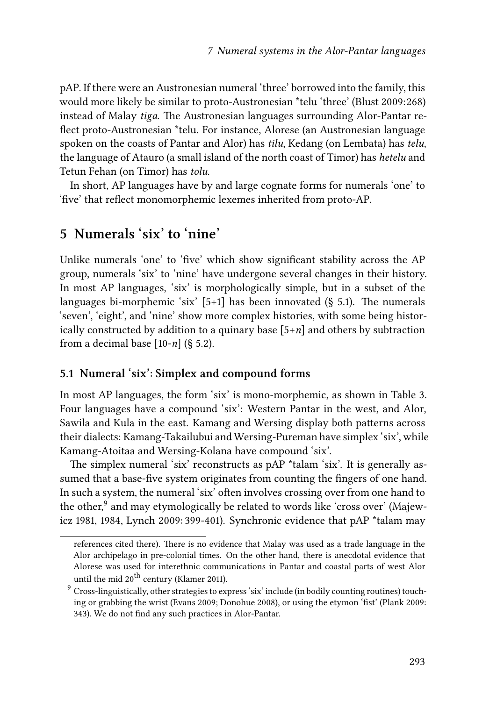pAP. If there were an Austronesian numeral 'three' borrowed into the family, this would more likely be similar to proto-Austronesian \*telu 'three'([Blust 2009](#page-48-5):268) instead of Malay *tiga*. The Austronesian languages surrounding Alor-Pantar reflect proto-Austronesian \*telu. For instance, Alorese (an Austronesian language spoken on the coasts of Pantar and Alor) has *tilu*, Kedang (on Lembata) has *telu*, the language of Atauro (a small island of the north coast of Timor) has *hetelu* and Tetun Fehan (on Timor) has *tolu*.

In short, AP languages have by and large cognate forms for numerals 'one' to 'five' that reflect monomorphemic lexemes inherited from proto-AP.

### <span id="page-8-0"></span>**5 Numerals 'six' to 'nine'**

Unlike numerals 'one' to 'five' which show significant stability across the AP group, numerals 'six' to 'nine' have undergone several changes in their history. In most AP languages, 'six' is morphologically simple, but in a subset of the languages bi-morphemic 'six'  $[5+1]$  has been innovated (§ [5.1\)](#page-8-1). The numerals 'seven', 'eight', and 'nine' show more complex histories, with some being historically constructed by addition to a quinary base [5+*n*] and others by subtraction from a decimal base [10-*n*] (§ [5.2](#page-11-0)).

#### <span id="page-8-1"></span>**5.1 Numeral 'six': Simplex and compound forms**

In most AP languages, the form 'six' is mono-morphemic, as shown in Table [3.](#page-9-0) Four languages have a compound 'six': Western Pantar in the west, and Alor, Sawila and Kula in the east. Kamang and Wersing display both patterns across their dialects: Kamang-Takailubui and Wersing-Pureman have simplex 'six', while Kamang-Atoitaa and Wersing-Kolana have compound 'six'.

The simplex numeral 'six' reconstructs as pAP \*talam 'six'. It is generally assumed that a base-five system originates from counting the fingers of one hand. In such a system, the numeral 'six' often involves crossing over from one hand to theother,<sup>9</sup> and may etymologically be related to words like 'cross over' ([Majew](#page-50-2)[icz 1981,](#page-50-2) [1984,](#page-50-3) [Lynch 2009:](#page-50-4) 399-401). Synchronic evidence that pAP \*talam may

references cited there). There is no evidence that Malay was used as a trade language in the Alor archipelago in pre-colonial times. On the other hand, there is anecdotal evidence that Alorese was used for interethnic communications in Pantar and coastal parts of west Alor until the mid  $20^{th}$  century [\(Klamer 2011](#page-49-6)).

 $^9$  Cross-linguistically, other strategies to express 'six' include (in bodily counting routines) touching or grabbing the wrist([Evans 2009](#page-48-2); [Donohue 2008\)](#page-48-1), or using the etymon 'fist' [\(Plank 2009](#page-50-5): 343). We do not find any such practices in Alor-Pantar.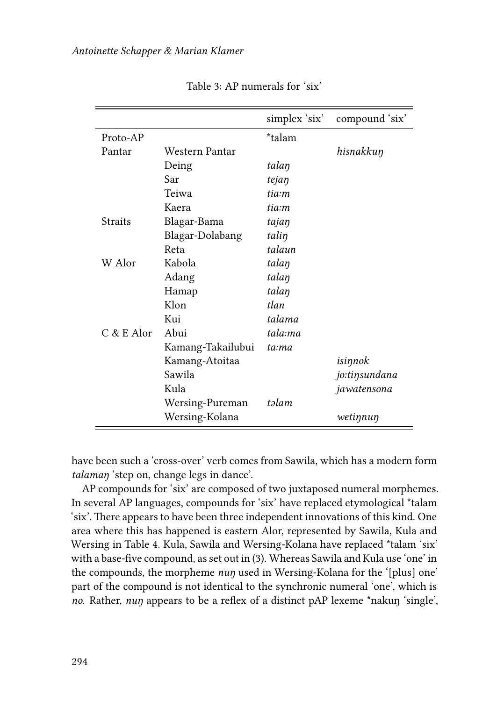|                |                   | simplex 'six' | compound 'six' |
|----------------|-------------------|---------------|----------------|
| Proto-AP       |                   | *talam        |                |
| Pantar         | Western Pantar    |               | hisnakkun      |
|                | Deing             | talaŋ         |                |
|                | Sar               | tejan         |                |
|                | Teiwa             | tia:m         |                |
|                | Kaera             | tia:m         |                |
| <b>Straits</b> | Blagar-Bama       | tajaŋ         |                |
|                | Blagar-Dolabang   | talin         |                |
|                | Reta              | talaun        |                |
| W Alor         | Kabola            | talan         |                |
|                | Adang             | talan         |                |
|                | Hamap             | talan         |                |
|                | Klon              | tlan          |                |
|                | Kui               | talama        |                |
| $C & E$ Alor   | Abui              | tala:ma       |                |
|                | Kamang-Takailubui | ta:ma         |                |
|                | Kamang-Atoitaa    |               | isiŋnok        |
|                | Sawila            |               | jo:tiŋsundana  |
|                | Kula              |               | jawatensona    |
|                | Wersing-Pureman   | təlam         |                |
|                | Wersing-Kolana    |               | wetinnun       |

<span id="page-9-0"></span>Table 3: AP numerals for 'six'

have been such a 'cross-over' verb comes from Sawila, which has a modern form *talamaŋ* 'step on, change legs in dance'.

AP compounds for 'six' are composed of two juxtaposed numeral morphemes. In several AP languages, compounds for 'six' have replaced etymological \*talam 'six'. There appears to have been three independent innovations of this kind. One area where this has happened is eastern Alor, represented by Sawila, Kula and Wersing in Table [4](#page-12-0). Kula, Sawila and Wersing-Kolana have replaced \*talam 'six' with a base-five compound, as set out in([3](#page-10-0)). Whereas Sawila and Kula use 'one' in the compounds, the morpheme *nuŋ* used in Wersing-Kolana for the '[plus] one' part of the compound is not identical to the synchronic numeral 'one', which is *no*. Rather, *nuŋ* appears to be a reflex of a distinct pAP lexeme \*nakuŋ 'single',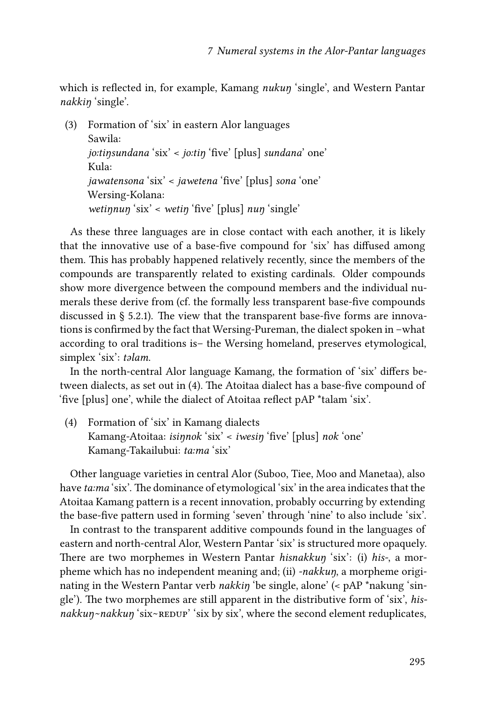which is reflected in, for example, Kamang *nukuŋ* 'single', and Western Pantar *nakkiŋ* 'single'.

<span id="page-10-0"></span>(3) Formation of 'six' in eastern Alor languages Sawila: *joːtiŋsundana* 'six' < *joːtiŋ* 'five' [plus] *sundana*' one' Kula: *jawatensona* 'six' < *jawetena* 'five' [plus] *sona* 'one' Wersing-Kolana: *wetiŋnuŋ* 'six' < *wetiŋ* 'five' [plus] *nuŋ* 'single'

As these three languages are in close contact with each another, it is likely that the innovative use of a base-five compound for 'six' has diffused among them. This has probably happened relatively recently, since the members of the compounds are transparently related to existing cardinals. Older compounds show more divergence between the compound members and the individual numerals these derive from (cf. the formally less transparent base-five compounds discussed in § [5.2.1](#page-11-1)). The view that the transparent base-five forms are innovations is confirmed by the fact that Wersing-Pureman, the dialect spoken in –what according to oral traditions is– the Wersing homeland, preserves etymological, simplex 'six': *təlam*.

In the north-central Alor language Kamang, the formation of 'six' differs between dialects, as set out in([4](#page-10-1)). The Atoitaa dialect has a base-five compound of 'five [plus] one', while the dialect of Atoitaa reflect pAP \*talam 'six'.

<span id="page-10-1"></span>(4) Formation of 'six' in Kamang dialects Kamang-Atoitaa: *isiŋnok* 'six' < *iwesiŋ* 'five' [plus] *nok* 'one' Kamang-Takailubui: *taːma* 'six'

Other language varieties in central Alor (Suboo, Tiee, Moo and Manetaa), also have *taːma* 'six'. The dominance of etymological 'six' in the area indicates that the Atoitaa Kamang pattern is a recent innovation, probably occurring by extending the base-five pattern used in forming 'seven' through 'nine' to also include 'six'.

In contrast to the transparent additive compounds found in the languages of eastern and north-central Alor, Western Pantar 'six' is structured more opaquely. There are two morphemes in Western Pantar *hisnakkuŋ* 'six': (i) *his-*, a morpheme which has no independent meaning and; (ii) *-nakkuŋ*, a morpheme originating in the Western Pantar verb *nakkiŋ* 'be single, alone' (< pAP \*nakung 'single'). The two morphemes are still apparent in the distributive form of 'six', *his*nakkun~nakkun 'six~REDUP' 'six by six', where the second element reduplicates,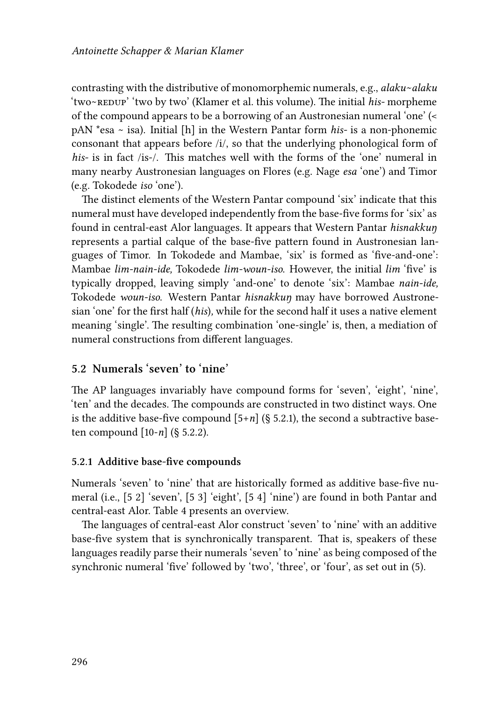contrasting with the distributive of monomorphemic numerals, e.g., *alaku∼alaku* 'two∼redup' 'two by two'([Klamer et al. this volume\)](#page-49-7). The initial *his-* morpheme of the compound appears to be a borrowing of an Austronesian numeral 'one' (< pAN \*esa ∼ isa). Initial [h] in the Western Pantar form *his-* is a non-phonemic consonant that appears before /i/, so that the underlying phonological form of *his-* is in fact /is-/. This matches well with the forms of the 'one' numeral in many nearby Austronesian languages on Flores (e.g. Nage *esa* 'one') and Timor (e.g. Tokodede *iso* 'one').

The distinct elements of the Western Pantar compound 'six' indicate that this numeral must have developed independently from the base-five forms for 'six' as found in central-east Alor languages. It appears that Western Pantar *hisnakkuŋ* represents a partial calque of the base-five pattern found in Austronesian languages of Timor. In Tokodede and Mambae, 'six' is formed as 'five-and-one': Mambae *lim-nain-ide,* Tokodede *lim-woun-iso*. However, the initial *lim* 'five' is typically dropped, leaving simply 'and-one' to denote 'six': Mambae *nain-ide,* Tokodede *woun-iso*. Western Pantar *hisnakkuŋ* may have borrowed Austronesian 'one' for the first half (*his*)*,* while for the second half it uses a native element meaning 'single'. The resulting combination 'one-single' is, then, a mediation of numeral constructions from different languages.

#### <span id="page-11-0"></span>**5.2 Numerals 'seven' to 'nine'**

The AP languages invariably have compound forms for 'seven', 'eight', 'nine', 'ten' and the decades. The compounds are constructed in two distinct ways. One is the additive base-five compound  $[5+n]$  (§ [5.2.1\)](#page-11-1), the second a subtractive baseten compound [10-*n*] (§ [5.2.2\)](#page-14-1).

#### <span id="page-11-1"></span>**5.2.1 Additive base-five compounds**

Numerals 'seven' to 'nine' that are historically formed as additive base-five numeral (i.e., [5 2] 'seven', [5 3] 'eight', [5 4] 'nine') are found in both Pantar and central-east Alor. Table [4](#page-12-0) presents an overview.

The languages of central-east Alor construct 'seven' to 'nine' with an additive base-five system that is synchronically transparent. That is, speakers of these languages readily parse their numerals 'seven' to 'nine' as being composed of the synchronic numeral 'five' followed by 'two', 'three', or 'four', as set out in([5](#page-12-1)).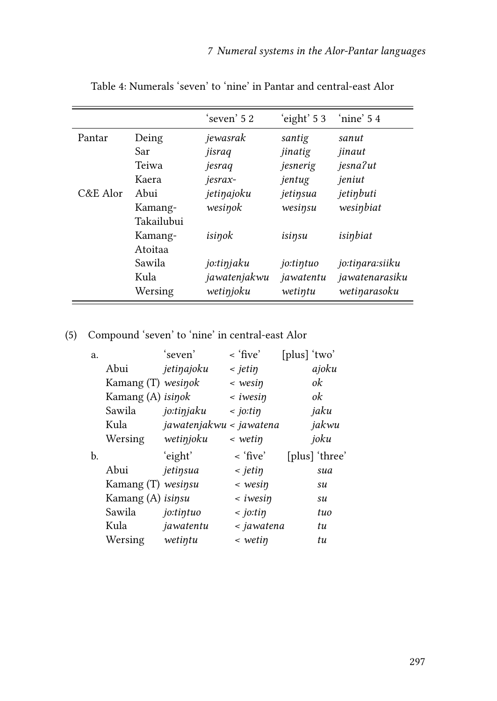|          |            | 'seven' 5 2  | 'eight' 53 | 'nine' 54       |
|----------|------------|--------------|------------|-----------------|
| Pantar   | Deing      | jewasrak     | santig     | sanut           |
|          | Sar        | jisraq       | jinatig    | jinaut          |
|          | Teiwa      | jesraq       | jesnerig   | jesna?ut        |
|          | Kaera      | jesrax-      | jentug     | jeniut          |
| C&E Alor | Abui       | jetinajoku   | jetinsua   | jetinbuti       |
|          | Kamang-    | wesinok      | wesinsu    | wesinbiat       |
|          | Takailubui |              |            |                 |
|          | Kamang-    | isinok       | isinsu     | isinbiat        |
|          | Atoitaa    |              |            |                 |
|          | Sawila     | jo:tinjaku   | jo:tintuo  | jo:tinara:siiku |
|          | Kula       | jawatenjakwu | jawatentu  | jawatenarasiku  |
|          | Wersing    | wetinjoku    | wetintu    | wetinarasoku    |

<span id="page-12-0"></span>Table 4: Numerals 'seven' to 'nine' in Pantar and central-east Alor

<span id="page-12-1"></span>(5) Compound 'seven' to 'nine' in central-east Alor

| a. |                    | 'seven'                 | $\langle$ 'five'        | [plus] 'two'   |
|----|--------------------|-------------------------|-------------------------|----------------|
|    | Abui               | jetinajoku              | $\langle$ <i>ietin</i>  | ajoku          |
|    | Kamang (T) wesinok |                         | $\langle$ wesin         | ok             |
|    | Kamang (A) isinok  |                         | $\langle$ iwesin        | ok             |
|    | Sawila             | jo:tinjaku              | $\langle$ <i>jo:tin</i> | jaku           |
|    | Kula               | jawatenjakwu < jawatena |                         | jakwu          |
|    | Wersing            | wetinjoku               | $\sim$ wetin            | joku           |
| b. |                    | 'eight'                 | $\langle$ 'five'        | [plus] 'three' |
|    | Abui               | jetinsua                | $\langle$ <i>ietin</i>  | sua            |
|    | Kamang (T) wesinsu |                         |                         |                |
|    |                    |                         | $\sim$ wesin            | su             |
|    | Kamang (A) isinsu  |                         | $\langle$ iwesin        | su             |
|    | Sawila             | jo:tintuo               | $\langle$ <i>io:tin</i> | tuo            |
|    | Kula               | jawatentu               | < jawatena              | tи             |
|    | Wersing            | wetintu                 | <i>&lt; wetin</i>       | tи             |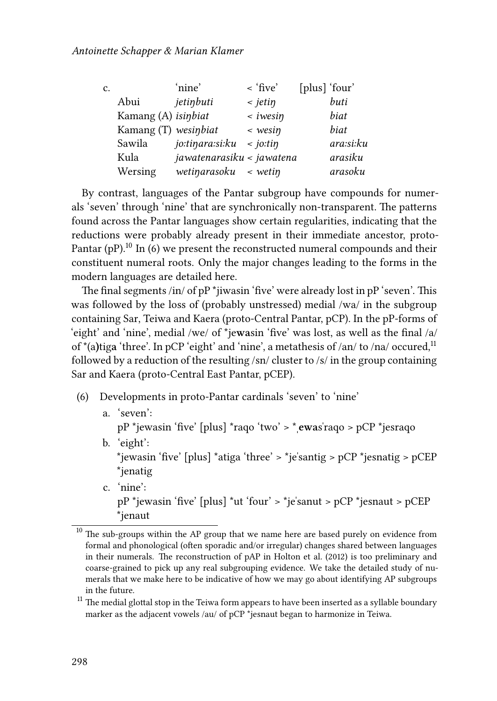| c. |                      | 'nine'                    | $\langle$ five'         | [plus] 'four' |
|----|----------------------|---------------------------|-------------------------|---------------|
|    | Abui                 | jetinbuti                 | $\langle$ <i>ietin</i>  | buti          |
|    | Kamang (A) isinbiat  |                           | $\langle$ iwesin        | biat          |
|    | Kamang (T) wesinbiat |                           | $\sim$ wesin            | biat          |
|    | Sawila               | jo:tinara:si:ku           | $\langle$ <i>io:tin</i> | ara:si:ku     |
|    | Kula                 | jawatenarasiku < jawatena |                         | arasiku       |
|    | Wersing              | wetinarasoku              | $\sim$ wetin            | arasoku       |

By contrast, languages of the Pantar subgroup have compounds for numerals 'seven' through 'nine' that are synchronically non-transparent. The patterns found across the Pantar languages show certain regularities, indicating that the reductions were probably already present in their immediate ancestor, proto-Pantar(pP).<sup>10</sup> In ([6\)](#page-13-0) we present the reconstructed numeral compounds and their constituent numeral roots. Only the major changes leading to the forms in the modern languages are detailed here.

The final segments /in/ of pP \*jiwasin 'five' were already lost in pP 'seven'. This was followed by the loss of (probably unstressed) medial /wa/ in the subgroup containing Sar, Teiwa and Kaera (proto-Central Pantar, pCP). In the pP-forms of 'eight' and 'nine', medial /we/ of \*je**wa**sin 'five' was lost, as well as the final /a/ of \*(a**)**tig**a** 'three'. In pCP 'eight' and 'nine', a metathesis of /an/ to /na/ occured,<sup>11</sup> followed by a reduction of the resulting  $\frac{\sin\theta}{\sin\theta}$  cluster to  $\frac{\sin\theta}{\sin\theta}$  in the group containing Sar and Kaera (proto-Central East Pantar, pCEP).

- <span id="page-13-0"></span>(6) Developments in proto-Pantar cardinals 'seven' to 'nine'
	- a. 'seven': pP \*jewasin 'five' [plus] \*raqo 'two' > \***ˌewa**sˈraqo > pCP \*jesraqo
	- b. 'eight': \*jewasin 'five' [plus] \*atiga 'three' > \*jeˈsantig > pCP \*jesnatig > pCEP \*jenatig c. 'nine':
		- pP \*jewasin 'five' [plus] \*ut 'four' > \*jeˈsanut > pCP \*jesnaut > pCEP \*jenaut

 $^{\rm 10}$  The sub-groups within the AP group that we name here are based purely on evidence from formal and phonological (often sporadic and/or irregular) changes shared between languages in their numerals. The reconstruction of pAP in [Holton et al. \(2012\)](#page-49-2) is too preliminary and coarse-grained to pick up any real subgrouping evidence. We take the detailed study of numerals that we make here to be indicative of how we may go about identifying AP subgroups in the future.

 $^{\rm 11}$  The medial glottal stop in the Teiwa form appears to have been inserted as a syllable boundary marker as the adjacent vowels /au/ of pCP \*jesnaut began to harmonize in Teiwa.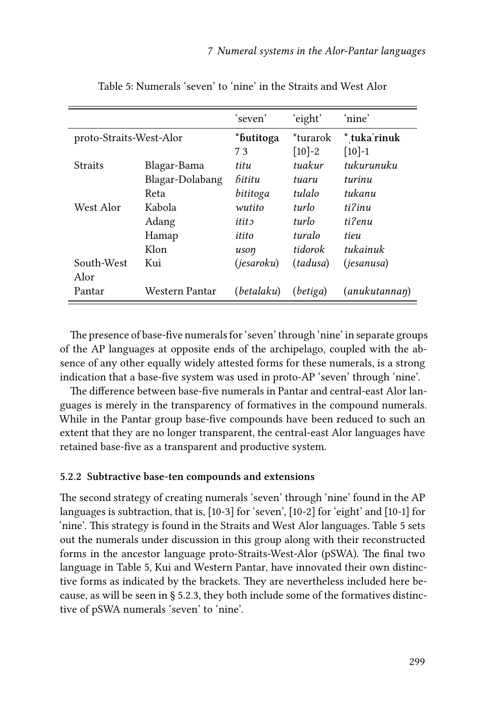|                         |                 | 'seven'             | 'eight'               | 'nine'              |
|-------------------------|-----------------|---------------------|-----------------------|---------------------|
| proto-Straits-West-Alor |                 | *butitoga           | *turarok              | * tuka rinuk        |
|                         |                 | 73                  | $\lceil 10 \rceil$ -2 | $[10]-1$            |
| <b>Straits</b>          | Blagar-Bama     | titu                | tuakur                | tukurunuku          |
|                         | Blagar-Dolabang | hititu              | tuaru                 | <i>turinu</i>       |
|                         | Reta            | bititoga            | tulalo                | tukanu              |
| West Alor               | Kabola          | wutito              | turlo                 | ti?inu              |
|                         | Adang           | itito               | turlo                 | ti?enu              |
|                         | Hamap           | itito               | turalo                | tieu                |
|                         | Klon            | uson                | tidorok               | tukainuk            |
| South-West              | Kui             | ( <i>jesaroku</i> ) | (tadusa)              | ( <i>jesanusa</i> ) |
| Alor                    |                 |                     |                       |                     |
| Pantar                  | Western Pantar  | (betalaku)          | (betiga)              | (anukutannan)       |

<span id="page-14-0"></span>Table 5: Numerals 'seven' to 'nine' in the Straits and West Alor

The presence of base-five numerals for 'seven' through 'nine' in separate groups of the AP languages at opposite ends of the archipelago, coupled with the absence of any other equally widely attested forms for these numerals, is a strong indication that a base-five system was used in proto-AP 'seven' through 'nine'.

The difference between base-five numerals in Pantar and central-east Alor languages is merely in the transparency of formatives in the compound numerals. While in the Pantar group base-five compounds have been reduced to such an extent that they are no longer transparent, the central-east Alor languages have retained base-five as a transparent and productive system.

#### <span id="page-14-1"></span>**5.2.2 Subtractive base-ten compounds and extensions**

The second strategy of creating numerals 'seven' through 'nine' found in the AP languages is subtraction, that is, [10-3] for 'seven', [10-2] for 'eight' and [10-1] for 'nine'. This strategy is found in the Straits and West Alor languages. Table [5](#page-14-0) sets out the numerals under discussion in this group along with their reconstructed forms in the ancestor language proto-Straits-West-Alor (pSWA). The final two language in Table [5,](#page-14-0) Kui and Western Pantar, have innovated their own distinctive forms as indicated by the brackets. They are nevertheless included here because, as will be seen in § [5.2.3,](#page-18-0) they both include some of the formatives distinctive of pSWA numerals 'seven' to 'nine'.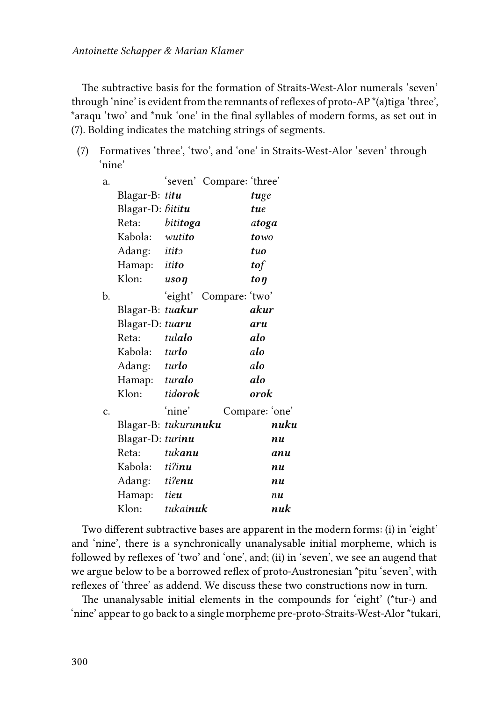The subtractive basis for the formation of Straits-West-Alor numerals 'seven' through 'nine' is evident from the remnants of reflexes of proto-AP \*(a)tiga 'three', \*araqu 'two' and \*nuk 'one' in the final syllables of modern forms, as set out in [\(7](#page-15-0)). Bolding indicates the matching strings of segments.

<span id="page-15-0"></span>(7) Formatives 'three', 'two', and 'one' in Straits-West-Alor 'seven' through 'nine'

| a. |                       |                 | 'seven' Compare: 'three' |            |      |
|----|-----------------------|-----------------|--------------------------|------------|------|
|    | Blagar-B: titu        |                 |                          | tuge       |      |
|    | Blagar-D: bititu      |                 |                          | <i>tue</i> |      |
|    | Reta: <i>bititoga</i> |                 |                          | atoga      |      |
|    | Kabola: wutito        |                 |                          | towo       |      |
|    | Adang: <i>itito</i>   |                 |                          | tuo        |      |
|    | Hamap: <i>itito</i>   |                 |                          | tof        |      |
|    | Klon:                 | uson            |                          | toŋ        |      |
| b. |                       |                 | 'eight' Compare: 'two'   |            |      |
|    | Blagar-B: tuakur      |                 |                          | akur       |      |
|    | Blagar-D: tuaru       |                 |                          | aru        |      |
|    | Reta:                 | tulalo          |                          | alo        |      |
|    | Kabola: turlo         |                 |                          | alo        |      |
|    | Adang: turlo          |                 |                          | alo        |      |
|    | Hamap: turalo         |                 |                          | alo        |      |
|    | Klon:                 | tid <b>orok</b> |                          | orok       |      |
| c. |                       | 'nine'          | Compare: 'one'           |            |      |
|    | Blagar-B: tukurunuku  |                 |                          |            | nuku |
|    | Blagar-D: turinu      |                 |                          |            | nu   |
|    | Reta:                 | tuk <b>anu</b>  |                          |            | anu  |
|    | Kabola: ti?inu        |                 |                          |            | nu   |
|    | Adang: ti?enu         |                 |                          |            | nu   |
|    | Hamap: tieu           |                 |                          |            | nu   |
|    | Klon: tukainuk        |                 |                          |            | nuk  |

Two different subtractive bases are apparent in the modern forms: (i) in 'eight' and 'nine', there is a synchronically unanalysable initial morpheme, which is followed by reflexes of 'two' and 'one', and; (ii) in 'seven', we see an augend that we argue below to be a borrowed reflex of proto-Austronesian \*pitu 'seven', with reflexes of 'three' as addend. We discuss these two constructions now in turn.

The unanalysable initial elements in the compounds for 'eight' (\*tur-) and 'nine' appear to go back to a single morpheme pre-proto-Straits-West-Alor \*tukari,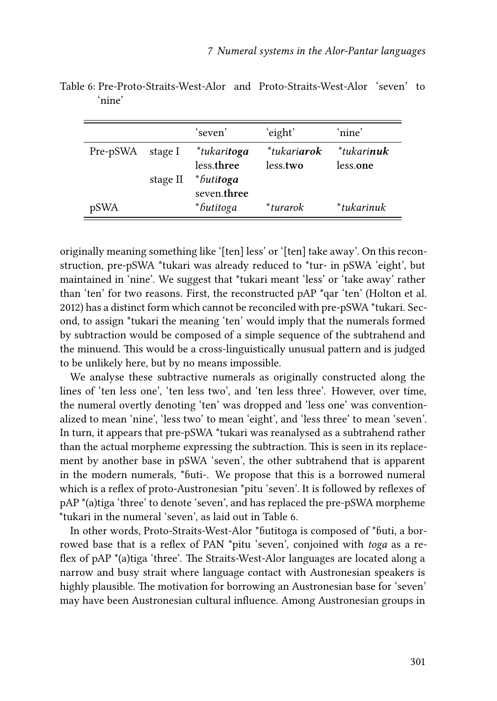|          |          | 'seven'                   | 'eight'                        | 'nine'                            |
|----------|----------|---------------------------|--------------------------------|-----------------------------------|
| Pre-pSWA | stage I  | *tukaritoga<br>less three | <i>*tukariarok</i><br>less.two | $*$ tukari <b>nuk</b><br>less.one |
|          | stage II | *butitoga<br>seven.three  |                                |                                   |
| pSWA     |          | *butitoga                 | *turarok                       | *tukarinuk                        |

<span id="page-16-0"></span>Table 6: Pre-Proto-Straits-West-Alor and Proto-Straits-West-Alor 'seven' to 'nine'

originally meaning something like '[ten] less' or '[ten] take away'. On this reconstruction, pre-pSWA \*tukari was already reduced to \*tur- in pSWA 'eight', but maintained in 'nine'. We suggest that \*tukari meant 'less' or 'take away' rather than 'ten' for two reasons. First, the reconstructed pAP \*qar 'ten' [\(Holton et al.](#page-49-2) [2012\)](#page-49-2) has a distinct form which cannot be reconciled with pre-pSWA \*tukari. Second, to assign \*tukari the meaning 'ten' would imply that the numerals formed by subtraction would be composed of a simple sequence of the subtrahend and the minuend. This would be a cross-linguistically unusual pattern and is judged to be unlikely here, but by no means impossible.

We analyse these subtractive numerals as originally constructed along the lines of 'ten less one', 'ten less two', and 'ten less three'. However, over time, the numeral overtly denoting 'ten' was dropped and 'less one' was conventionalized to mean 'nine', 'less two' to mean 'eight', and 'less three' to mean 'seven'. In turn, it appears that pre-pSWA \*tukari was reanalysed as a subtrahend rather than the actual morpheme expressing the subtraction. This is seen in its replacement by another base in pSWA 'seven', the other subtrahend that is apparent in the modern numerals, \*ɓuti-. We propose that this is a borrowed numeral which is a reflex of proto-Austronesian \*pitu 'seven'. It is followed by reflexes of pAP \*(a)tiga 'three' to denote 'seven', and has replaced the pre-pSWA morpheme \*tukari in the numeral 'seven', as laid out in Table [6.](#page-16-0)

In other words, Proto-Straits-West-Alor \*ɓutitoga is composed of \*ɓuti, a borrowed base that is a reflex of PAN \*pitu 'seven', conjoined with *toga* as a reflex of pAP \*(a)tiga 'three'. The Straits-West-Alor languages are located along a narrow and busy strait where language contact with Austronesian speakers is highly plausible. The motivation for borrowing an Austronesian base for 'seven' may have been Austronesian cultural influence. Among Austronesian groups in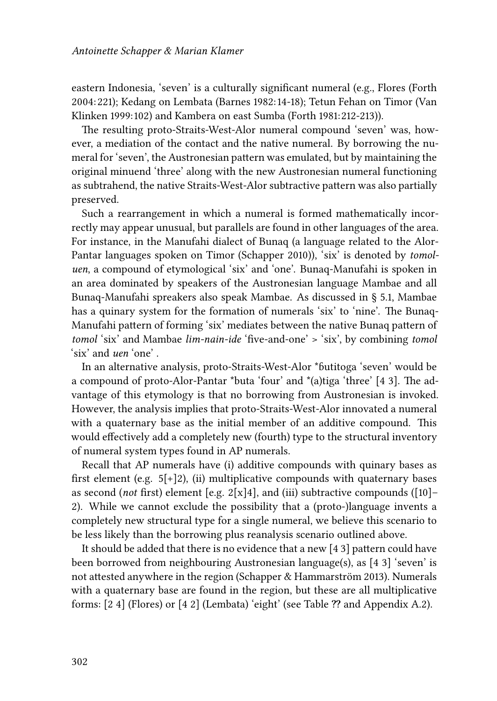eastern Indonesia, 'seven' is a culturally significant numeral (e.g., Flores([Forth](#page-48-8) [2004:](#page-48-8)221); Kedang on Lembata [\(Barnes 1982](#page-47-0): 14-18); Tetun Fehan on Timor [\(Van](#page-51-3) [Klinken 1999:](#page-51-3)102) and Kambera on east Sumba([Forth 1981:](#page-48-9)212-213)).

The resulting proto-Straits-West-Alor numeral compound 'seven' was, however, a mediation of the contact and the native numeral. By borrowing the numeral for 'seven', the Austronesian pattern was emulated, but by maintaining the original minuend 'three' along with the new Austronesian numeral functioning as subtrahend, the native Straits-West-Alor subtractive pattern was also partially preserved.

Such a rearrangement in which a numeral is formed mathematically incorrectly may appear unusual, but parallels are found in other languages of the area. For instance, in the Manufahi dialect of Bunaq (a language related to the Alor-Pantar languages spoken on Timor [\(Schapper 2010\)](#page-50-6)), 'six' is denoted by *tomoluen*, a compound of etymological 'six' and 'one'. Bunaq-Manufahi is spoken in an area dominated by speakers of the Austronesian language Mambae and all Bunaq-Manufahi spreakers also speak Mambae. As discussed in § [5.1](#page-8-1), Mambae has a quinary system for the formation of numerals 'six' to 'nine'. The Bunaq-Manufahi pattern of forming 'six' mediates between the native Bunaq pattern of *tomol* 'six' and Mambae *lim-nain-ide* 'five-and-one' > 'six', by combining *tomol* 'six' and *uen* 'one' .

In an alternative analysis, proto-Straits-West-Alor \*ɓutitoga 'seven' would be a compound of proto-Alor-Pantar \*buta 'four' and \*(a)tiga 'three' [4 3]. The advantage of this etymology is that no borrowing from Austronesian is invoked. However, the analysis implies that proto-Straits-West-Alor innovated a numeral with a quaternary base as the initial member of an additive compound. This would effectively add a completely new (fourth) type to the structural inventory of numeral system types found in AP numerals.

Recall that AP numerals have (i) additive compounds with quinary bases as first element (e.g.  $5[+]2$ ), (ii) multiplicative compounds with quaternary bases as second (*not* first) element [e.g. 2[x]4], and (iii) subtractive compounds ([10]– 2). While we cannot exclude the possibility that a (proto-)language invents a completely new structural type for a single numeral, we believe this scenario to be less likely than the borrowing plus reanalysis scenario outlined above.

It should be added that there is no evidence that a new [4 3] pattern could have been borrowed from neighbouring Austronesian language(s), as [4 3] 'seven' is not attested anywhere in the region [\(Schapper & Hammarström 2013](#page-50-7)). Numerals with a quaternary base are found in the region, but these are all multiplicative forms: [2 4] (Flores) or [4 2] (Lembata) 'eight' (see Table **⁇** and Appendix [A.2](#page-43-0)).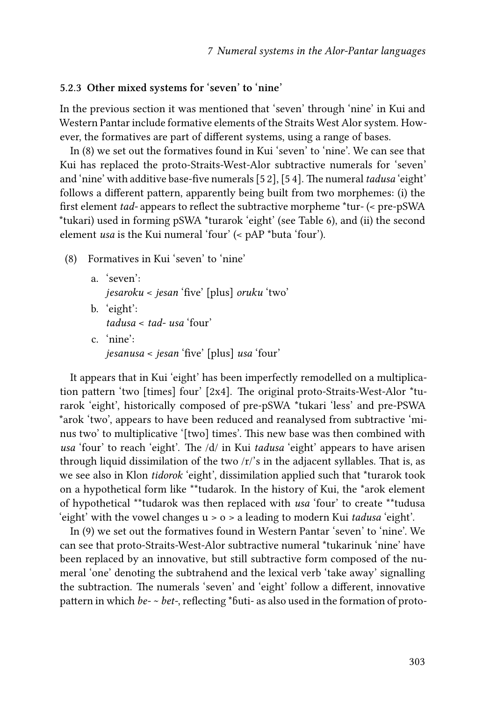#### <span id="page-18-0"></span>**5.2.3 Other mixed systems for 'seven' to 'nine'**

In the previous section it was mentioned that 'seven' through 'nine' in Kui and Western Pantar include formative elements of the Straits West Alor system. However, the formatives are part of different systems, using a range of bases.

In [\(8](#page-18-1)) we set out the formatives found in Kui 'seven' to 'nine'. We can see that Kui has replaced the proto-Straits-West-Alor subtractive numerals for 'seven' and 'nine' with additive base-five numerals [5 2], [5 4]. The numeral *tadusa* 'eight' follows a different pattern, apparently being built from two morphemes: (i) the first element *tad-* appears to reflect the subtractive morpheme \*tur- (< pre-pSWA \*tukari) used in forming pSWA \*turarok 'eight' (see Table [6\)](#page-16-0), and (ii) the second element *usa* is the Kui numeral 'four' (< pAP \*buta 'four').

- <span id="page-18-1"></span>(8) Formatives in Kui 'seven' to 'nine'
	- a. 'seven': *jesaroku* < *jesan* 'five' [plus] *oruku* 'two'
	- b. 'eight': *tadusa* < *tad- usa* 'four' c. 'nine':
		- *jesanusa* < *jesan* 'five' [plus] *usa* 'four'

It appears that in Kui 'eight' has been imperfectly remodelled on a multiplication pattern 'two [times] four' [2x4]. The original proto-Straits-West-Alor \*turarok 'eight', historically composed of pre-pSWA \*tukari 'less' and pre-PSWA \*arok 'two', appears to have been reduced and reanalysed from subtractive 'minus two' to multiplicative '[two] times'. This new base was then combined with *usa* 'four' to reach 'eight'. The /d/ in Kui *tadusa* 'eight' appears to have arisen through liquid dissimilation of the two  $\langle r \rangle$ 's in the adjacent syllables. That is, as we see also in Klon *tidorok* 'eight', dissimilation applied such that \*turarok took on a hypothetical form like \*\*tudarok. In the history of Kui, the \*arok element of hypothetical \*\*tudarok was then replaced with *usa* 'four' to create \*\*tudusa 'eight' with the vowel changes u > o > a leading to modern Kui *tadusa* 'eight'.

In [\(9](#page-19-0)) we set out the formatives found in Western Pantar 'seven' to 'nine'. We can see that proto-Straits-West-Alor subtractive numeral \*tukarinuk 'nine' have been replaced by an innovative, but still subtractive form composed of the numeral 'one' denoting the subtrahend and the lexical verb 'take away' signalling the subtraction. The numerals 'seven' and 'eight' follow a different, innovative pattern in which *be- ∼ bet-*, reflecting \*ɓuti- as also used in the formation of proto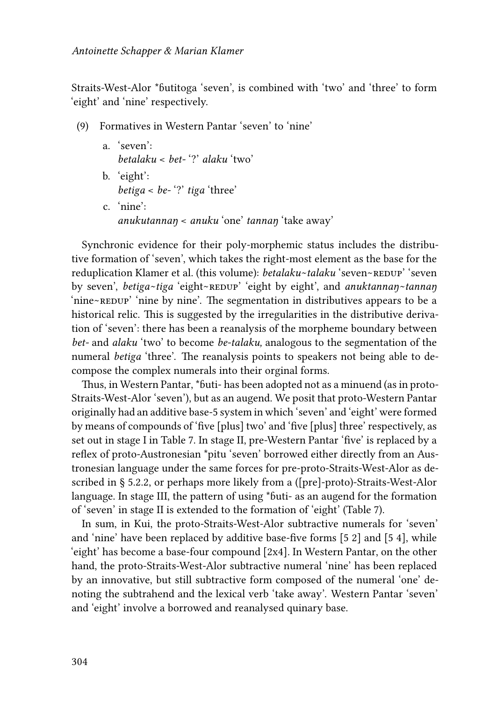Straits-West-Alor \*ɓutitoga 'seven', is combined with 'two' and 'three' to form 'eight' and 'nine' respectively.

- <span id="page-19-0"></span>(9) Formatives in Western Pantar 'seven' to 'nine'
	- a. 'seven': *betalaku* < *bet-* '?' *alaku* 'two' b. 'eight': *betiga* < *be-* '?' *tiga* 'three' c. 'nine':
		- *anukutannaŋ* < *anuku* 'one' *tannaŋ* 'take away'

Synchronic evidence for their poly-morphemic status includes the distributive formation of 'seven', which takes the right-most element as the base for the reduplication [Klamer et al. \(this volume\):](#page-49-7) *betalaku∼talaku* 'seven∼reDUP' 'seven by seven', *betiga∼tiga* 'eight∼redup' 'eight by eight', and *anuktannaŋ∼tannaŋ* 'nine∼redup' 'nine by nine'. The segmentation in distributives appears to be a historical relic. This is suggested by the irregularities in the distributive derivation of 'seven': there has been a reanalysis of the morpheme boundary between *bet-* and *alaku* 'two' to become *be-talaku,* analogous to the segmentation of the numeral *betiga* 'three'. The reanalysis points to speakers not being able to decompose the complex numerals into their orginal forms.

Thus, in Western Pantar, \*ɓuti- has been adopted not as a minuend (as in proto-Straits-West-Alor 'seven'), but as an augend. We posit that proto-Western Pantar originally had an additive base-5 system in which 'seven' and 'eight' were formed by means of compounds of 'five [plus] two' and 'five [plus] three' respectively, as set out in stage I in Table [7.](#page-20-1) In stage II, pre-Western Pantar 'five' is replaced by a reflex of proto-Austronesian \*pitu 'seven' borrowed either directly from an Austronesian language under the same forces for pre-proto-Straits-West-Alor as described in § [5.2.2](#page-14-1), or perhaps more likely from a ([pre]-proto)-Straits-West-Alor language. In stage III, the pattern of using \*ɓuti- as an augend for the formation of 'seven' in stage II is extended to the formation of 'eight' (Table [7\)](#page-20-1).

In sum, in Kui, the proto-Straits-West-Alor subtractive numerals for 'seven' and 'nine' have been replaced by additive base-five forms [5 2] and [5 4], while 'eight' has become a base-four compound [2x4]. In Western Pantar, on the other hand, the proto-Straits-West-Alor subtractive numeral 'nine' has been replaced by an innovative, but still subtractive form composed of the numeral 'one' denoting the subtrahend and the lexical verb 'take away'. Western Pantar 'seven' and 'eight' involve a borrowed and reanalysed quinary base.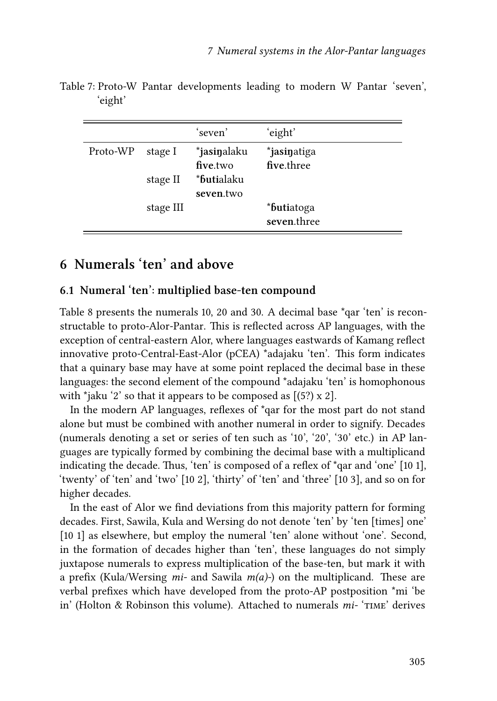|          |                     | 'seven'                                            | 'eight'                   |
|----------|---------------------|----------------------------------------------------|---------------------------|
| Proto-WP | stage I<br>stage II | *jasinalaku<br>five.two<br>*butialaku<br>seven.two | *jasinatiga<br>five.three |
|          | stage III           |                                                    | *butiatoga<br>seven.three |

<span id="page-20-1"></span>Table 7: Proto-W Pantar developments leading to modern W Pantar 'seven', 'eight'

### <span id="page-20-0"></span>**6 Numerals 'ten' and above**

#### **6.1 Numeral 'ten': multiplied base-ten compound**

Table [8](#page-21-0) presents the numerals 10, 20 and 30. A decimal base \*qar 'ten' is reconstructable to proto-Alor-Pantar. This is reflected across AP languages, with the exception of central-eastern Alor, where languages eastwards of Kamang reflect innovative proto-Central-East-Alor (pCEA) \*adajaku 'ten'. This form indicates that a quinary base may have at some point replaced the decimal base in these languages: the second element of the compound \*adajaku 'ten' is homophonous with \*jaku '2' so that it appears to be composed as  $(5?) \times 2$ .

In the modern AP languages, reflexes of \*qar for the most part do not stand alone but must be combined with another numeral in order to signify. Decades (numerals denoting a set or series of ten such as '10', '20', '30' etc.) in AP languages are typically formed by combining the decimal base with a multiplicand indicating the decade. Thus, 'ten' is composed of a reflex of \*qar and 'one' [10 1], 'twenty' of 'ten' and 'two' [10 2], 'thirty' of 'ten' and 'three' [10 3], and so on for higher decades.

In the east of Alor we find deviations from this majority pattern for forming decades. First, Sawila, Kula and Wersing do not denote 'ten' by 'ten [times] one' [10 1] as elsewhere, but employ the numeral 'ten' alone without 'one'. Second, in the formation of decades higher than 'ten', these languages do not simply juxtapose numerals to express multiplication of the base-ten, but mark it with a prefix (Kula/Wersing *mi-* and Sawila *m(a)-*) on the multiplicand. These are verbal prefixes which have developed from the proto-AP postposition \*mi 'be in'([Holton & Robinson this volume\)](#page-49-3). Attached to numerals *mi-* 'time' derives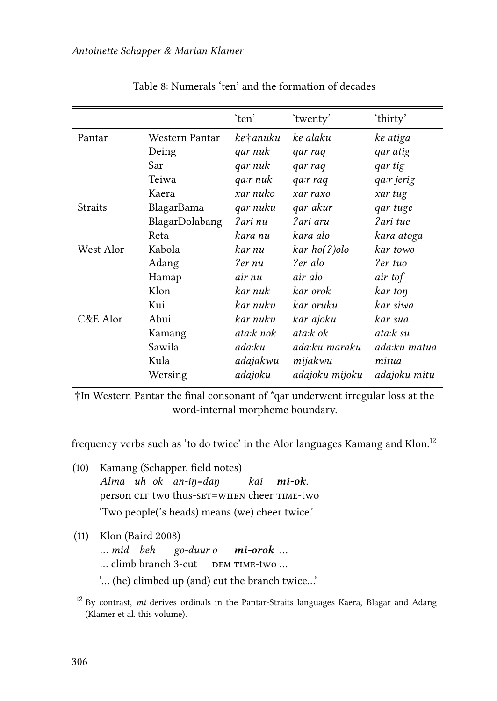|                |                | 'ten'     | 'twenty'           | 'thirty'        |
|----------------|----------------|-----------|--------------------|-----------------|
| Pantar         | Western Pantar | ke†anuku  | ke alaku           | ke atiga        |
|                | Deing          | qar nuk   | qar raq            | qar atig        |
|                | Sar            | qar nuk   | qar raq            | qar tig         |
|                | Teiwa          | qa:r nuk  | qa:r raq           | qa:r jerig      |
|                | Kaera          | xar nuko  | xar raxo           | xar tug         |
| <b>Straits</b> | BlagarBama     | qar nuku  | qar akur           | qar tuge        |
|                | BlagarDolabang | ?ari nu   | <i>lari aru</i>    | <i>lari</i> tue |
|                | Reta           | kara nu   | kara alo           | kara atoga      |
| West Alor      | Kabola         | kar nu    | $kar$ ho( $2)$ olo | kar towo        |
|                | Adang          | ?er nu    | ?er alo            | Per tuo         |
|                | Hamap          | air nu    | air alo            | air tof         |
|                | Klon           | kar nuk   | kar orok           | kar ton         |
|                | Kui            | kar nuku  | kar oruku          | kar siwa        |
| C&E Alor       | Abui           | kar nuku  | kar ajoku          | kar sua         |
|                | Kamang         | ata:k nok | ata:k ok           | ata:k su        |
|                | Sawila         | ada:ku    | ada:ku maraku      | ada:ku matua    |
|                | Kula           | adajakwu  | mijakwu            | mitua           |
|                | Wersing        | adajoku   | adajoku mijoku     | adajoku mitu    |

<span id="page-21-0"></span>Table 8: Numerals 'ten' and the formation of decades

†In Western Pantar the final consonant of \*qar underwent irregular loss at the word-internal morpheme boundary.

frequency verbs such as 'to do twice' in the Alor languages Kamang and Klon.<sup>12</sup>

- (10) Kamang (Schapper, field notes) *Alma uh ok an-iŋ=daŋ* person CLF two thus-set=when cheer TIME-two *kai mi-ok.* 'Two people('s heads) means (we) cheer twice.'
- (11) Klon [\(Baird 2008\)](#page-47-1)
	- *… mid beh go-duur o mi-orok …*
	- ... climb branch 3-cut DEM TIME-two ...
	- '… (he) climbed up (and) cut the branch twice…'

<sup>&</sup>lt;sup>12</sup> By contrast, *mi* derives ordinals in the Pantar-Straits languages Kaera, Blagar and Adang [\(Klamer et al. this volume\)](#page-49-7).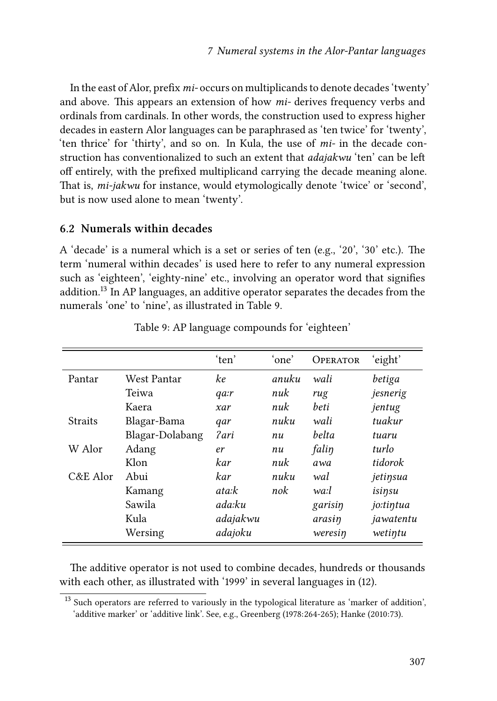In the east of Alor, prefix *mi-* occurs on multiplicands to denote decades 'twenty' and above. This appears an extension of how *mi-* derives frequency verbs and ordinals from cardinals. In other words, the construction used to express higher decades in eastern Alor languages can be paraphrased as 'ten twice' for 'twenty', 'ten thrice' for 'thirty', and so on. In Kula, the use of *mi-* in the decade construction has conventionalized to such an extent that *adajakwu* 'ten' can be left off entirely, with the prefixed multiplicand carrying the decade meaning alone. That is, *mi-jakwu* for instance, would etymologically denote 'twice' or 'second', but is now used alone to mean 'twenty'.

#### <span id="page-22-1"></span>**6.2 Numerals within decades**

A 'decade' is a numeral which is a set or series of ten (e.g., '20', '30' etc.). The term 'numeral within decades' is used here to refer to any numeral expression such as 'eighteen', 'eighty-nine' etc., involving an operator word that signifies addition.<sup>13</sup> In AP languages, an additive operator separates the decades from the numerals 'one' to 'nine', as illustrated in Table [9.](#page-22-0)

|                |                 | 'ten'      | 'one' | <b>OPERATOR</b> | 'eight'   |
|----------------|-----------------|------------|-------|-----------------|-----------|
| Pantar         | West Pantar     | ke.        | anuku | wali            | betiga    |
|                | Teiwa           | qa:r       | nuk   | rug             | jesnerig  |
|                | Kaera           | xar        | nuk   | heti            | jentug    |
| <b>Straits</b> | Blagar-Bama     | qar        | nuku  | wali            | tuakur    |
|                | Blagar-Dolabang | <i>ari</i> | nu    | <i>belta</i>    | tuaru     |
| W Alor         | Adang           | er         | nu    | falin           | turlo     |
|                | Klon            | kar        | nuk   | awa             | tidorok   |
| $C&E$ Alor     | Abui            | kar        | nuku  | wal             | jetinsua  |
|                | Kamang          | ata:k      | nok   | wa:l            | isinsu    |
|                | Sawila          | ada:ku     |       | garisin         | jo:tintua |
|                | Kula            | adajakwu   |       | arasin          | jawatentu |
|                | Wersing         | adajoku    |       | weresin         | wetintu   |

<span id="page-22-0"></span>Table 9: AP language compounds for 'eighteen'

The additive operator is not used to combine decades, hundreds or thousands with each other, as illustrated with '1999' in several languages in([12\)](#page-23-0).

 $13$  Such operators are referred to variously in the typological literature as 'marker of addition', 'additive marker' or 'additive link'. See, e.g., [Greenberg \(1978:](#page-48-4)264-265); [Hanke \(2010:](#page-49-8)73).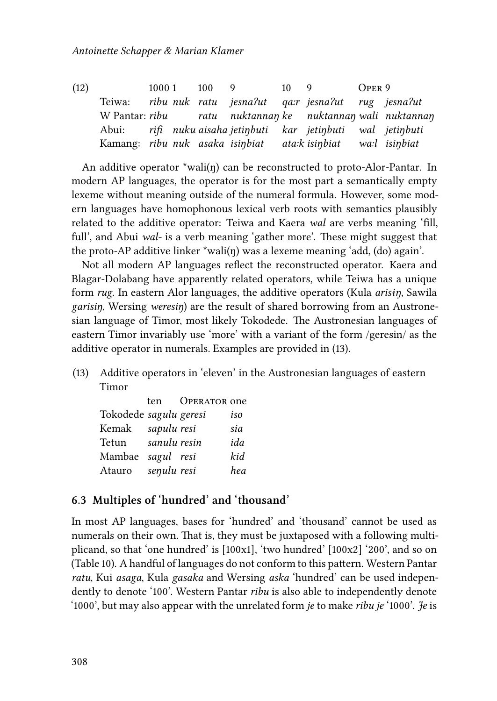<span id="page-23-0"></span>(12) Teiwa: W Pantar: *ribu* Abui: Kamang: *ribu nuk asaka isiŋbiat* 1000 1 *ribu nuk ratu rifi nuku aisaha jetiŋbuti* 100 *ratu* 9 *jesnaʔut nuktannaŋ ke* 10 *qaːr jesnaʔut kar jetiŋbuti ataːk isiŋbiat* 9 *nuktannaŋ wali nuktannaŋ* Oper 9 *rug jesnaʔut wal jetiŋbuti waːl isiŋbiat*

An additive operator \*wali(n) can be reconstructed to proto-Alor-Pantar. In modern AP languages, the operator is for the most part a semantically empty lexeme without meaning outside of the numeral formula. However, some modern languages have homophonous lexical verb roots with semantics plausibly related to the additive operator: Teiwa and Kaera *wal* are verbs meaning 'fill, full', and Abui *wal-* is a verb meaning 'gather more'. These might suggest that the proto-AP additive linker \*wali(ŋ) was a lexeme meaning 'add, (do) again'.

Not all modern AP languages reflect the reconstructed operator. Kaera and Blagar-Dolabang have apparently related operators, while Teiwa has a unique form *rug*. In eastern Alor languages, the additive operators (Kula *arisɨŋ*, Sawila *garisiŋ*, Wersing *weresiŋ*) are the result of shared borrowing from an Austronesian language of Timor, most likely Tokodede. The Austronesian languages of eastern Timor invariably use 'more' with a variant of the form /geresin/ as the additive operator in numerals. Examples are provided in([13\)](#page-23-1).

<span id="page-23-1"></span>(13) Additive operators in 'eleven' in the Austronesian languages of eastern Timor

|                           | ten          | <b>OPERATOR one</b> |     |
|---------------------------|--------------|---------------------|-----|
| Tokodede sagulu geresi    |              |                     | iso |
| Kemak s <i>apulu resi</i> |              |                     | sia |
| Tetun                     | sanulu resin |                     | ida |
| Mambae s <i>agul resi</i> |              |                     | kid |
| Atauro                    | senulu resi  |                     | hea |

#### **6.3 Multiples of 'hundred' and 'thousand'**

In most AP languages, bases for 'hundred' and 'thousand' cannot be used as numerals on their own. That is, they must be juxtaposed with a following multiplicand, so that 'one hundred' is [100x1], 'two hundred' [100x2] '200', and so on (Table [10\)](#page-24-0). A handful of languages do not conform to this pattern. Western Pantar *ratu*, Kui *asaga*, Kula *gasaka* and Wersing *aska* 'hundred' can be used independently to denote '100'. Western Pantar *ribu* is also able to independently denote '1000', but may also appear with the unrelated form *je* to make *ribu je* '1000'. *Je* is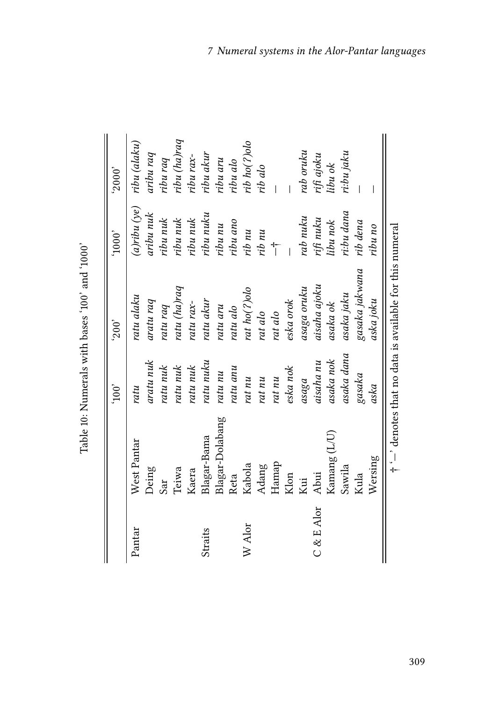<span id="page-24-0"></span>

| ĺ                  |
|--------------------|
| î                  |
| hneac              |
| $\frac{1}{1}$<br>ì |
| l                  |
|                    |
| مامات              |

|              |                 | 001,       | $200^\circ$                                                             | 0001,                | 0000           |
|--------------|-----------------|------------|-------------------------------------------------------------------------|----------------------|----------------|
| Pantar       | West Pantar     | ratu       | ratu alaku                                                              | $(a)$ ribu $(ye)$    | ribu (alaku)   |
|              | Deing           | aratu nuk  | aratu raq                                                               | aribu nuk            | aribu raq      |
|              | Sar             | ratu nuk   | ratu raq                                                                | ribu nuk             | ribu raq       |
|              | Teiwa           | ratu nuk   | ratu (ha)raq                                                            | ribu nuk             | $ribu$ (ha)raq |
|              | Kaera           | ratu nuk   | ratu rax-                                                               | ribu nuk             | ribu rax-      |
| Straits      | Blagar-Bama     | ratu nuku  | ratu akur                                                               | ribu nuku            | ribu akur      |
|              | Blagar-Dolabang | ratu nu    | ratu aru                                                                | ribu nu              | ribu aru       |
|              | Reta            | ratu anu   | ratu alo                                                                | ribu ano             | ribu alo       |
| $\rm W$ Alor | Kabola          | rat nu     | rat ho(?)olo                                                            | rib nu               | rib ho(?)olo   |
|              | Adang           | rat nu     | rat alo                                                                 | rib nu               | rib alo        |
|              | Hamap           | rat nu     | rat alo                                                                 | $\frac{1}{\sqrt{2}}$ |                |
|              | Klon            | eska nok   | eska orok                                                               |                      |                |
|              | Kui             | asaga      | asaga oruku                                                             | rab nuku             | rab oruku      |
| $C & E$ Alor | Abui            | aisaha nu  | aisaha ajoku                                                            | rifi nuku            | rifi ajoku     |
|              | Kamang (L/U)    | asaka nok  | asaka ok                                                                | libu nok             | libu ok        |
|              | Sawila          | asaka dana | asaka jaku                                                              | ri:bu dana           | ri:bu jaku     |
|              | Kula            | gasaka     | gasaka jakwana                                                          | rib dena             |                |
|              | Wersing         | aska       | aska joku                                                               | ribu no              |                |
|              |                 |            | <sup>+</sup> + ' - ' denotes that no data is available for this numeral |                      |                |

*7 Numeral systems in the Alor-Pantar languages*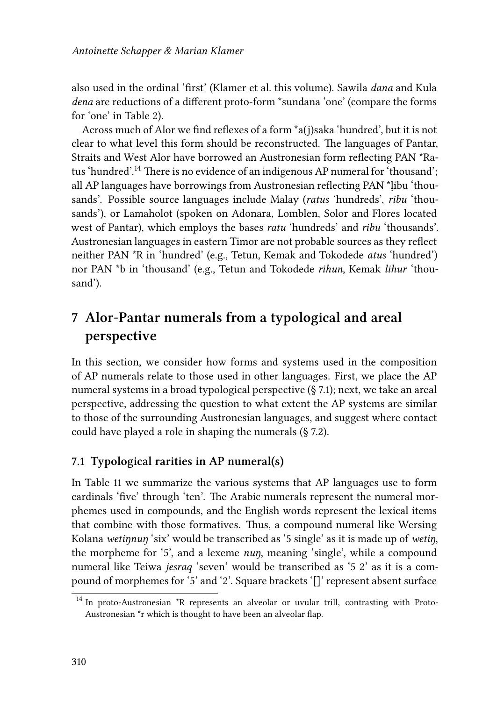also used in the ordinal 'first'([Klamer et al. this volume\)](#page-49-7). Sawila *dana* and Kula *dena* are reductions of a different proto-form \*sundana 'one' (compare the forms for 'one' in Table [2](#page-7-0)).

Across much of Alor we find reflexes of a form \*a(j)saka 'hundred', but it is not clear to what level this form should be reconstructed. The languages of Pantar, Straits and West Alor have borrowed an Austronesian form reflecting PAN \*Ratus 'hundred'.<sup>14</sup> There is no evidence of an indigenous AP numeral for 'thousand'; all AP languages have borrowings from Austronesian reflecting PAN \*ḷibu 'thousands'. Possible source languages include Malay (*ratus* 'hundreds', *ribu* 'thousands'), or Lamaholot (spoken on Adonara, Lomblen, Solor and Flores located west of Pantar), which employs the bases *ratu* 'hundreds' and *ribu* 'thousands'. Austronesian languages in eastern Timor are not probable sources as they reflect neither PAN \*R in 'hundred' (e.g., Tetun, Kemak and Tokodede *atus* 'hundred') nor PAN \*b in 'thousand' (e.g., Tetun and Tokodede *rihun*, Kemak *lihur* 'thousand').

## <span id="page-25-0"></span>**7 Alor-Pantar numerals from a typological and areal perspective**

In this section, we consider how forms and systems used in the composition of AP numerals relate to those used in other languages. First, we place the AP numeral systems in a broad typological perspective (§ [7.1\)](#page-25-1); next, we take an areal perspective, addressing the question to what extent the AP systems are similar to those of the surrounding Austronesian languages, and suggest where contact could have played a role in shaping the numerals (§ [7.2\)](#page-27-0).

#### <span id="page-25-1"></span>**7.1 Typological rarities in AP numeral(s)**

In Table [11](#page-26-0) we summarize the various systems that AP languages use to form cardinals 'five' through 'ten'. The Arabic numerals represent the numeral morphemes used in compounds, and the English words represent the lexical items that combine with those formatives. Thus, a compound numeral like Wersing Kolana *wetiŋnuŋ* 'six' would be transcribed as '5 single' as it is made up of *wetiŋ*, the morpheme for '5', and a lexeme *nuŋ*, meaning 'single', while a compound numeral like Teiwa *jesraq* 'seven' would be transcribed as '5 2' as it is a compound of morphemes for '5' and '2'. Square brackets '[]' represent absent surface

<sup>14</sup> In proto-Austronesian \*R represents an alveolar or uvular trill, contrasting with Proto-Austronesian \*r which is thought to have been an alveolar flap.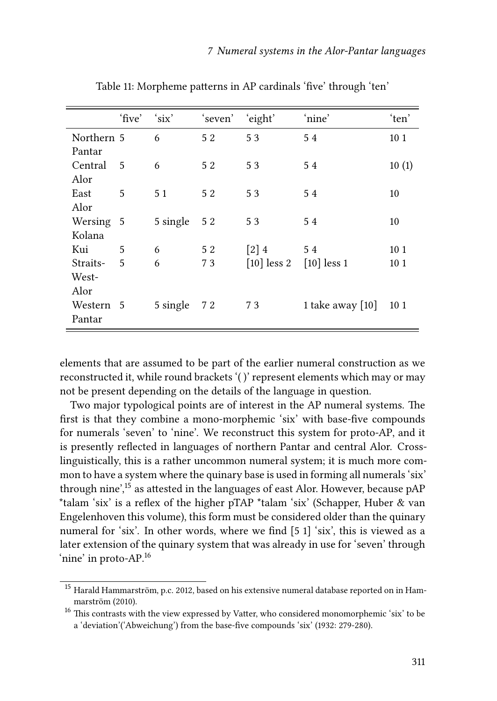|            | 'five' | 'six'    | 'seven' | 'eight'             | 'nine'           | 'ten'           |
|------------|--------|----------|---------|---------------------|------------------|-----------------|
| Northern 5 |        | 6        | 52      | 53                  | 54               | 10 1            |
| Pantar     |        |          |         |                     |                  |                 |
| Central    | 5      | 6        | 52      | 53                  | 54               | 10(1)           |
| Alor       |        |          |         |                     |                  |                 |
| East       | 5      | 51       | 52      | 53                  | 54               | 10              |
| Alor       |        |          |         |                     |                  |                 |
| Wersing    | -5     | 5 single | 5 2     | 53                  | 54               | 10              |
| Kolana     |        |          |         |                     |                  |                 |
| Kui        | 5      | 6        | 52      | $\lceil 2 \rceil$ 4 | 54               | 10 1            |
| Straits-   | 5      | 6        | 73      | [10] less $2$       | $[10]$ less 1    | 10 <sub>1</sub> |
| West-      |        |          |         |                     |                  |                 |
| Alor       |        |          |         |                     |                  |                 |
| Western    | - 5    | 5 single | 72      | 73                  | 1 take away [10] | 10 <sub>1</sub> |
| Pantar     |        |          |         |                     |                  |                 |

<span id="page-26-0"></span>Table 11: Morpheme patterns in AP cardinals 'five' through 'ten'

elements that are assumed to be part of the earlier numeral construction as we reconstructed it, while round brackets '( )' represent elements which may or may not be present depending on the details of the language in question.

Two major typological points are of interest in the AP numeral systems. The first is that they combine a mono-morphemic 'six' with base-five compounds for numerals 'seven' to 'nine'. We reconstruct this system for proto-AP, and it is presently reflected in languages of northern Pantar and central Alor. Crosslinguistically, this is a rather uncommon numeral system; it is much more common to have a system where the quinary base is used in forming all numerals 'six' through nine',<sup>15</sup> as attested in the languages of east Alor. However, because pAP \*talam 'six' is a reflex of the higher pTAP \*talam 'six'([Schapper, Huber & van](#page-51-4) [Engelenhoven this volume](#page-51-4)), this form must be considered older than the quinary numeral for 'six'. In other words, where we find [5 1] 'six', this is viewed as a later extension of the quinary system that was already in use for 'seven' through 'nine' in proto-AP.<sup>16</sup>

 $^{15}$  Harald Hammarström, p.c. 2012, based on his extensive numeral database reported on in [Ham](#page-49-1)[marström \(2010\)](#page-49-1).

 $^{\rm 16}$  This contrasts with the view expressed by Vatter, who considered monomorphemic 'six' to be a 'deviation'('Abweichung') from the base-five compounds 'six' (1932: 279-280).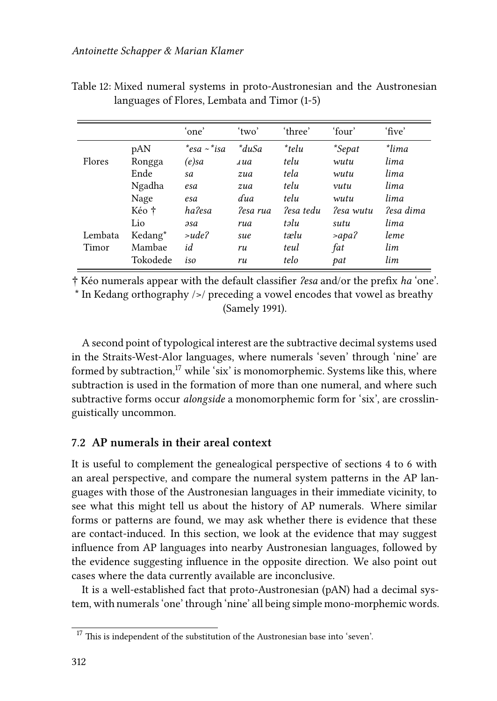|         |          | 'one'      | 'two'    | 'three'   | 'four'           | 'five'    |
|---------|----------|------------|----------|-----------|------------------|-----------|
|         | pAN      | *esa ~*isa | *duSa    | *telu     | *Sepat           | *lima     |
| Flores  | Rongga   | $(e)$ sa   | лиа      | telu      | wutu             | lima      |
|         | Ende     | sa         | zua      | tela      | wutu             | lima      |
|         | Ngadha   | esa        | zua      | telu      | vutu             | lima      |
|         | Nage     | esa        | dua      | telu      | wutu             | lima      |
|         | Kéo†     | ha?esa     | ?esa rua | lesa tedu | <i>lesa wutu</i> | ?esa dima |
|         | Lio      | əsa        | rua      | təlu      | sutu             | lima      |
| Lembata | Kedang*  | $ >$ ude?  | sue      | tælu      | >apa?            | leme      |
| Timor   | Mambae   | id         | ru       | teul      | fat              | lim       |
|         | Tokodede | iso        | ru       | telo      | pat              | lim       |

| Table 12: Mixed numeral systems in proto-Austronesian and the Austronesian |                                              |  |
|----------------------------------------------------------------------------|----------------------------------------------|--|
|                                                                            | languages of Flores, Lembata and Timor (1-5) |  |

† Kéo numerals appear with the default classifier *ʔesa* and/or the prefix *ha* 'one'.

\* In Kedang orthography />/ preceding a vowel encodes that vowel as breathy [\(Samely 1991\)](#page-50-8).

A second point of typological interest are the subtractive decimal systems used in the Straits-West-Alor languages, where numerals 'seven' through 'nine' are formed by subtraction,<sup>17</sup> while 'six' is monomorphemic. Systems like this, where subtraction is used in the formation of more than one numeral, and where such subtractive forms occur *alongside* a monomorphemic form for 'six', are crosslinguistically uncommon.

#### <span id="page-27-0"></span>**7.2 AP numerals in their areal context**

It is useful to complement the genealogical perspective of sections 4 to 6 with an areal perspective, and compare the numeral system patterns in the AP languages with those of the Austronesian languages in their immediate vicinity, to see what this might tell us about the history of AP numerals. Where similar forms or patterns are found, we may ask whether there is evidence that these are contact-induced. In this section, we look at the evidence that may suggest influence from AP languages into nearby Austronesian languages, followed by the evidence suggesting influence in the opposite direction. We also point out cases where the data currently available are inconclusive.

It is a well-established fact that proto-Austronesian (pAN) had a decimal system, with numerals 'one' through 'nine' all being simple mono-morphemic words.

 $17$  This is independent of the substitution of the Austronesian base into 'seven'.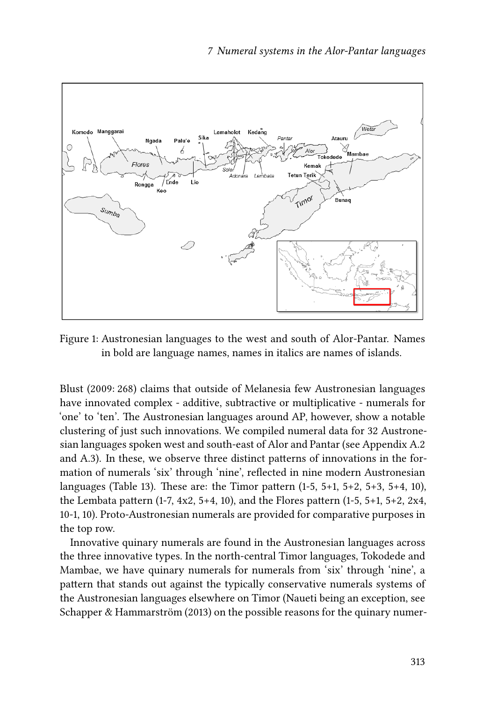

<span id="page-28-0"></span>Figure 1: Austronesian languages to the west and south of Alor-Pantar. Names in bold are language names, names in italics are names of islands.

[Blust \(2009:](#page-48-5) 268) claims that outside of Melanesia few Austronesian languages have innovated complex - additive, subtractive or multiplicative - numerals for 'one' to 'ten'. The Austronesian languages around AP, however, show a notable clustering of just such innovations. We compiled numeral data for 32 Austronesian languages spoken west and south-east of Alor and Pantar (see Appendix [A.2](#page-43-0) and [A.3\)](#page-45-0). In these, we observe three distinct patterns of innovations in the formation of numerals 'six' through 'nine', reflected in nine modern Austronesian languages (Table [13\)](#page-29-0). These are: the Timor pattern (1-5, 5+1, 5+2, 5+3, 5+4, 10), the Lembata pattern (1-7, 4x2, 5+4, 10), and the Flores pattern (1-5, 5+1, 5+2, 2x4, 10-1, 10). Proto-Austronesian numerals are provided for comparative purposes in the top row.

Innovative quinary numerals are found in the Austronesian languages across the three innovative types. In the north-central Timor languages, Tokodede and Mambae, we have quinary numerals for numerals from 'six' through 'nine', a pattern that stands out against the typically conservative numerals systems of the Austronesian languages elsewhere on Timor (Naueti being an exception, see [Schapper & Hammarström \(2013\)](#page-50-7) on the possible reasons for the quinary numer-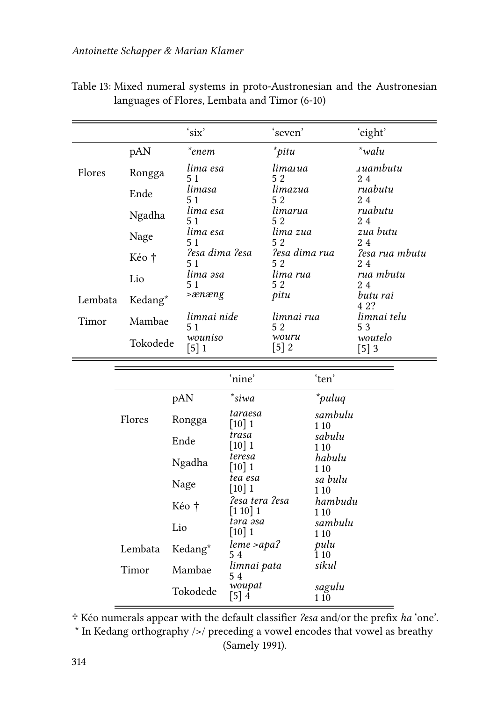|         |          |     | $^\cdot\!$ six'      |                                     | 'seven'              |                            | 'eight'               |
|---------|----------|-----|----------------------|-------------------------------------|----------------------|----------------------------|-----------------------|
|         | pAN      |     | $*enem$              |                                     | $*$ pitu             |                            | *walu                 |
| Flores  | Rongga   |     | lima esa<br>51       |                                     | <i>limarua</i><br>52 |                            | <i>auambutu</i><br>24 |
|         | Ende     |     | limasa<br>51         |                                     | limazua<br>52        |                            | ruabutu<br>24         |
|         | Ngadha   |     | lima esa<br>51       |                                     | limarua<br>52        |                            | ruabutu<br>24         |
|         | Nage     |     | lima esa<br>51       |                                     | lima zua<br>52       |                            | zua butu<br>24        |
|         | Kéo†     |     | ?esa dima ?esa<br>51 |                                     | ?esa dima rua<br>52  |                            | ?esa rua mbutu<br>24  |
|         | Lio      |     | lima əsa<br>51       |                                     | lima rua<br>52       |                            | rua mbutu<br>24       |
| Lembata | Kedang*  |     | >ænæng               |                                     | pitu                 |                            | butu rai<br>4 2?      |
| Timor   | Mambae   |     | limnai nide<br>51    |                                     | limnai rua<br>52     |                            | limnai telu<br>53     |
|         | Tokodede |     | wouniso<br>[5]1      |                                     | wouru<br>$[5]$ 2     |                            | woutelo<br>$[5]$ 3    |
|         |          |     |                      |                                     |                      |                            |                       |
|         |          |     |                      | 'nine'                              |                      | 'ten'                      |                       |
|         |          |     | pAN                  | *siwa                               |                      | *puluq                     |                       |
|         | Flores   |     | Rongga               | taraesa<br>[10]1                    |                      | sambulu<br>1 10            |                       |
|         |          |     | Ende                 | trasa<br>[10]1                      |                      | sabulu<br>1 10             |                       |
|         |          |     | Ngadha               | teresa<br>$\left[10\right]1$        |                      | habulu<br>1 10             |                       |
|         |          |     | Nage                 | tea esa<br>[10]1                    |                      | sa bulu<br>1 10            |                       |
|         |          |     | Kéo†                 | ?esa tera ?esa<br>$[1 10] 1$        |                      | hambudu                    |                       |
|         |          | Lio |                      | təra əsa<br>[10]1                   |                      | 1 10<br>sambulu            |                       |
|         | Lembata  |     | Kedang*              | leme >apa?                          |                      | 1 10<br>pulu               |                       |
|         | Timor    |     | Mambae               | 54<br>limnai pata                   |                      | $\overline{1}$ 10<br>sikul |                       |
|         |          |     | Tokodede             | 54<br>woupat<br>$[5]\,\overline{4}$ |                      | sagulu<br>1 10             |                       |

<span id="page-29-0"></span>

|  |  | Table 13: Mixed numeral systems in proto-Austronesian and the Austronesian |  |  |
|--|--|----------------------------------------------------------------------------|--|--|
|  |  | languages of Flores, Lembata and Timor (6-10)                              |  |  |

† Kéo numerals appear with the default classifier *ʔesa* and/or the prefix *ha* 'one'.

▃

\* In Kedang orthography />/ preceding a vowel encodes that vowel as breathy

[\(Samely 1991\)](#page-50-8).

 $\blacksquare$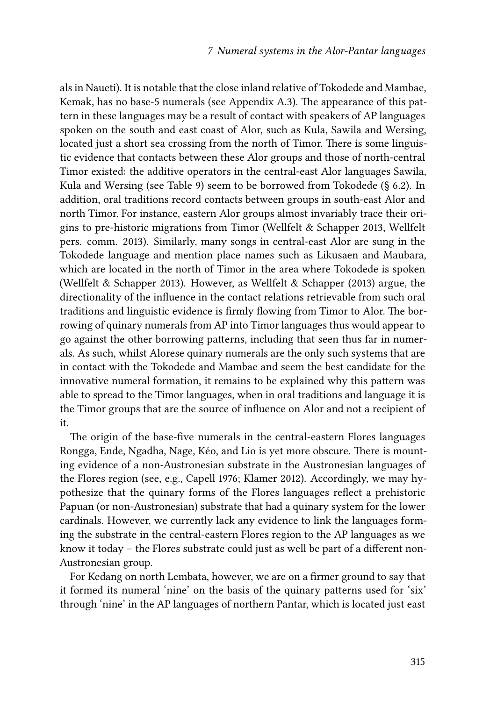als in Naueti). It is notable that the close inland relative of Tokodede and Mambae, Kemak, has no base-5 numerals (see Appendix [A.3\)](#page-45-0). The appearance of this pattern in these languages may be a result of contact with speakers of AP languages spoken on the south and east coast of Alor, such as Kula, Sawila and Wersing, located just a short sea crossing from the north of Timor. There is some linguistic evidence that contacts between these Alor groups and those of north-central Timor existed: the additive operators in the central-east Alor languages Sawila, Kula and Wersing (see Table [9\)](#page-22-0) seem to be borrowed from Tokodede (§ [6.2\)](#page-22-1). In addition, oral traditions record contacts between groups in south-east Alor and north Timor. For instance, eastern Alor groups almost invariably trace their origins to pre-historic migrations from Timor([Wellfelt & Schapper 2013](#page-51-5), Wellfelt pers. comm. 2013). Similarly, many songs in central-east Alor are sung in the Tokodede language and mention place names such as Likusaen and Maubara, which are located in the north of Timor in the area where Tokodede is spoken [\(Wellfelt & Schapper 2013\)](#page-51-5). However, as [Wellfelt & Schapper \(2013\)](#page-51-5) argue, the directionality of the influence in the contact relations retrievable from such oral traditions and linguistic evidence is firmly flowing from Timor to Alor. The borrowing of quinary numerals from AP into Timor languages thus would appear to go against the other borrowing patterns, including that seen thus far in numerals. As such, whilst Alorese quinary numerals are the only such systems that are in contact with the Tokodede and Mambae and seem the best candidate for the innovative numeral formation, it remains to be explained why this pattern was able to spread to the Timor languages, when in oral traditions and language it is the Timor groups that are the source of influence on Alor and not a recipient of it.

The origin of the base-five numerals in the central-eastern Flores languages Rongga, Ende, Ngadha, Nage, Kéo, and Lio is yet more obscure. There is mounting evidence of a non-Austronesian substrate in the Austronesian languages of the Flores region (see, e.g., [Capell 1976;](#page-48-10) [Klamer 2012\)](#page-49-9). Accordingly, we may hypothesize that the quinary forms of the Flores languages reflect a prehistoric Papuan (or non-Austronesian) substrate that had a quinary system for the lower cardinals. However, we currently lack any evidence to link the languages forming the substrate in the central-eastern Flores region to the AP languages as we know it today – the Flores substrate could just as well be part of a different non-Austronesian group.

For Kedang on north Lembata, however, we are on a firmer ground to say that it formed its numeral 'nine' on the basis of the quinary patterns used for 'six' through 'nine' in the AP languages of northern Pantar, which is located just east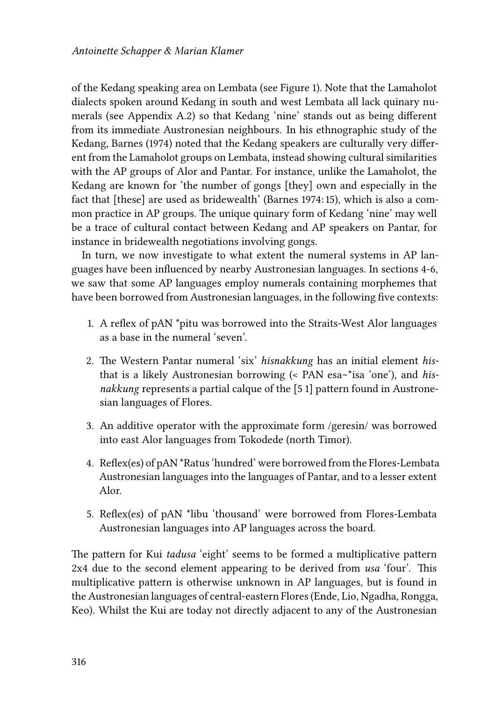of the Kedang speaking area on Lembata (see Figure [1\)](#page-28-0). Note that the Lamaholot dialects spoken around Kedang in south and west Lembata all lack quinary numerals (see Appendix [A.2](#page-43-0)) so that Kedang 'nine' stands out as being different from its immediate Austronesian neighbours. In his ethnographic study of the Kedang, [Barnes \(1974\)](#page-47-2) noted that the Kedang speakers are culturally very different from the Lamaholot groups on Lembata, instead showing cultural similarities with the AP groups of Alor and Pantar. For instance, unlike the Lamaholot, the Kedang are known for 'the number of gongs [they] own and especially in the fact that [these] are used as bridewealth'([Barnes 1974:](#page-47-2) 15), which is also a common practice in AP groups. The unique quinary form of Kedang 'nine' may well be a trace of cultural contact between Kedang and AP speakers on Pantar, for instance in bridewealth negotiations involving gongs.

In turn, we now investigate to what extent the numeral systems in AP languages have been influenced by nearby Austronesian languages. In sections 4-6, we saw that some AP languages employ numerals containing morphemes that have been borrowed from Austronesian languages, in the following five contexts:

- 1. A reflex of pAN \*pitu was borrowed into the Straits-West Alor languages as a base in the numeral 'seven'.
- 2. The Western Pantar numeral 'six' *hisnakkung* has an initial element *his*that is a likely Austronesian borrowing (< PAN esa∼\*isa 'one'), and *hisnakkung* represents a partial calque of the [5 1] pattern found in Austronesian languages of Flores.
- 3. An additive operator with the approximate form /geresin/ was borrowed into east Alor languages from Tokodede (north Timor).
- 4. Reflex(es) of pAN \*Ratus 'hundred' were borrowed from the Flores-Lembata Austronesian languages into the languages of Pantar, and to a lesser extent Alor.
- 5. Reflex(es) of pAN \*libu 'thousand' were borrowed from Flores-Lembata Austronesian languages into AP languages across the board.

The pattern for Kui *tadusa* 'eight' seems to be formed a multiplicative pattern 2x4 due to the second element appearing to be derived from *usa* 'four'. This multiplicative pattern is otherwise unknown in AP languages, but is found in the Austronesian languages of central-eastern Flores (Ende, Lio, Ngadha, Rongga, Keo). Whilst the Kui are today not directly adjacent to any of the Austronesian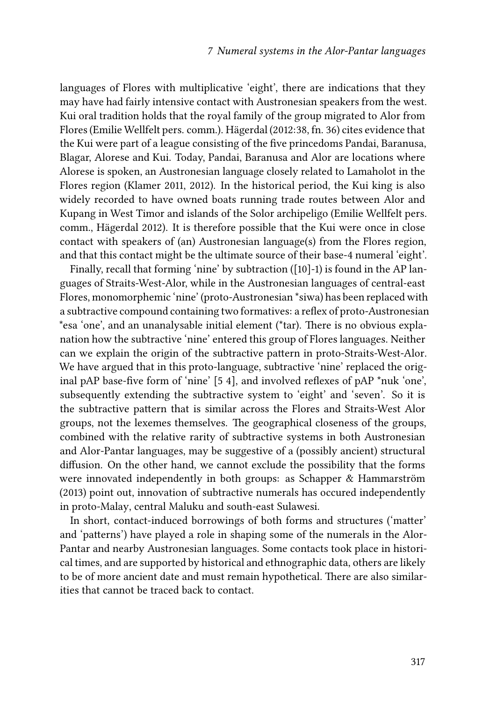languages of Flores with multiplicative 'eight', there are indications that they may have had fairly intensive contact with Austronesian speakers from the west. Kui oral tradition holds that the royal family of the group migrated to Alor from Flores (Emilie Wellfelt pers. comm.). [Hägerdal \(2012](#page-48-11):38, fn. 36) cites evidence that the Kui were part of a league consisting of the five princedoms Pandai, Baranusa, Blagar, Alorese and Kui. Today, Pandai, Baranusa and Alor are locations where Alorese is spoken, an Austronesian language closely related to Lamaholot in the Flores region([Klamer 2011,](#page-49-6) [2012\)](#page-49-9). In the historical period, the Kui king is also widely recorded to have owned boats running trade routes between Alor and Kupang in West Timor and islands of the Solor archipeligo (Emilie Wellfelt pers. comm., [Hägerdal 2012](#page-48-11)). It is therefore possible that the Kui were once in close contact with speakers of (an) Austronesian language(s) from the Flores region, and that this contact might be the ultimate source of their base-4 numeral 'eight'.

Finally, recall that forming 'nine' by subtraction ([10]-1) is found in the AP languages of Straits-West-Alor, while in the Austronesian languages of central-east Flores, monomorphemic 'nine' (proto-Austronesian \*siwa) has been replaced with a subtractive compound containing two formatives: a reflex of proto-Austronesian \*esa 'one', and an unanalysable initial element (\*tar). There is no obvious explanation how the subtractive 'nine' entered this group of Flores languages. Neither can we explain the origin of the subtractive pattern in proto-Straits-West-Alor. We have argued that in this proto-language, subtractive 'nine' replaced the original pAP base-five form of 'nine' [5 4], and involved reflexes of pAP \*nuk 'one', subsequently extending the subtractive system to 'eight' and 'seven'. So it is the subtractive pattern that is similar across the Flores and Straits-West Alor groups, not the lexemes themselves. The geographical closeness of the groups, combined with the relative rarity of subtractive systems in both Austronesian and Alor-Pantar languages, may be suggestive of a (possibly ancient) structural diffusion. On the other hand, we cannot exclude the possibility that the forms were innovated independently in both groups: as [Schapper & Hammarström](#page-50-7) [\(2013\)](#page-50-7) point out, innovation of subtractive numerals has occured independently in proto-Malay, central Maluku and south-east Sulawesi.

In short, contact-induced borrowings of both forms and structures ('matter' and 'patterns') have played a role in shaping some of the numerals in the Alor-Pantar and nearby Austronesian languages. Some contacts took place in historical times, and are supported by historical and ethnographic data, others are likely to be of more ancient date and must remain hypothetical. There are also similarities that cannot be traced back to contact.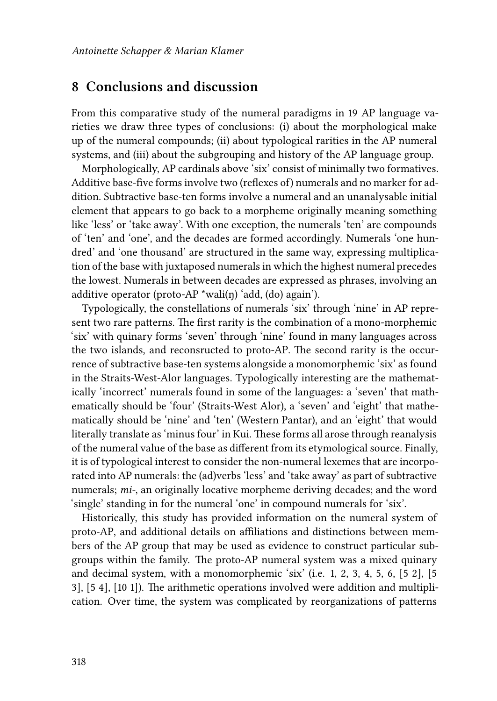#### <span id="page-33-0"></span>**8 Conclusions and discussion**

From this comparative study of the numeral paradigms in 19 AP language varieties we draw three types of conclusions: (i) about the morphological make up of the numeral compounds; (ii) about typological rarities in the AP numeral systems, and (iii) about the subgrouping and history of the AP language group.

Morphologically, AP cardinals above 'six' consist of minimally two formatives. Additive base-five forms involve two (reflexes of) numerals and no marker for addition. Subtractive base-ten forms involve a numeral and an unanalysable initial element that appears to go back to a morpheme originally meaning something like 'less' or 'take away'. With one exception, the numerals 'ten' are compounds of 'ten' and 'one', and the decades are formed accordingly. Numerals 'one hundred' and 'one thousand' are structured in the same way, expressing multiplication of the base with juxtaposed numerals in which the highest numeral precedes the lowest. Numerals in between decades are expressed as phrases, involving an additive operator (proto-AP  $*$ wali(n) 'add, (do) again').

Typologically, the constellations of numerals 'six' through 'nine' in AP represent two rare patterns. The first rarity is the combination of a mono-morphemic 'six' with quinary forms 'seven' through 'nine' found in many languages across the two islands, and reconsructed to proto-AP. The second rarity is the occurrence of subtractive base-ten systems alongside a monomorphemic 'six' as found in the Straits-West-Alor languages. Typologically interesting are the mathematically 'incorrect' numerals found in some of the languages: a 'seven' that mathematically should be 'four' (Straits-West Alor), a 'seven' and 'eight' that mathematically should be 'nine' and 'ten' (Western Pantar), and an 'eight' that would literally translate as 'minus four' in Kui. These forms all arose through reanalysis of the numeral value of the base as different from its etymological source. Finally, it is of typological interest to consider the non-numeral lexemes that are incorporated into AP numerals: the (ad)verbs 'less' and 'take away' as part of subtractive numerals; *mi-*, an originally locative morpheme deriving decades; and the word 'single' standing in for the numeral 'one' in compound numerals for 'six'.

Historically, this study has provided information on the numeral system of proto-AP, and additional details on affiliations and distinctions between members of the AP group that may be used as evidence to construct particular subgroups within the family. The proto-AP numeral system was a mixed quinary and decimal system, with a monomorphemic 'six' (i.e. 1, 2, 3, 4, 5, 6, [5 2], [5 3], [5 4], [10 1]). The arithmetic operations involved were addition and multiplication. Over time, the system was complicated by reorganizations of patterns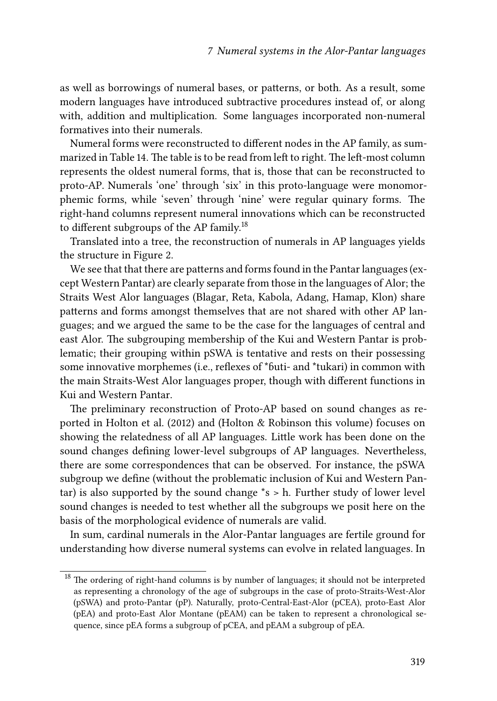as well as borrowings of numeral bases, or patterns, or both. As a result, some modern languages have introduced subtractive procedures instead of, or along with, addition and multiplication. Some languages incorporated non-numeral formatives into their numerals.

Numeral forms were reconstructed to different nodes in the AP family, as summarized in Table [14.](#page-35-0) The table is to be read from left to right. The left-most column represents the oldest numeral forms, that is, those that can be reconstructed to proto-AP. Numerals 'one' through 'six' in this proto-language were monomorphemic forms, while 'seven' through 'nine' were regular quinary forms. The right-hand columns represent numeral innovations which can be reconstructed to different subgroups of the AP family.<sup>18</sup>

Translated into a tree, the reconstruction of numerals in AP languages yields the structure in Figure [2.](#page-36-0)

We see that that there are patterns and forms found in the Pantar languages (except Western Pantar) are clearly separate from those in the languages of Alor; the Straits West Alor languages (Blagar, Reta, Kabola, Adang, Hamap, Klon) share patterns and forms amongst themselves that are not shared with other AP languages; and we argued the same to be the case for the languages of central and east Alor. The subgrouping membership of the Kui and Western Pantar is problematic; their grouping within pSWA is tentative and rests on their possessing some innovative morphemes (i.e., reflexes of \*ɓuti- and \*tukari) in common with the main Straits-West Alor languages proper, though with different functions in Kui and Western Pantar.

The preliminary reconstruction of Proto-AP based on sound changes as reported in [Holton et al. \(2012\)](#page-49-2) and([Holton & Robinson this volume](#page-49-3)) focuses on showing the relatedness of all AP languages. Little work has been done on the sound changes defining lower-level subgroups of AP languages. Nevertheless, there are some correspondences that can be observed. For instance, the pSWA subgroup we define (without the problematic inclusion of Kui and Western Pantar) is also supported by the sound change  $\overline{s}$  > h. Further study of lower level sound changes is needed to test whether all the subgroups we posit here on the basis of the morphological evidence of numerals are valid.

In sum, cardinal numerals in the Alor-Pantar languages are fertile ground for understanding how diverse numeral systems can evolve in related languages. In

 $^{18}$  The ordering of right-hand columns is by number of languages; it should not be interpreted as representing a chronology of the age of subgroups in the case of proto-Straits-West-Alor (pSWA) and proto-Pantar (pP). Naturally, proto-Central-East-Alor (pCEA), proto-East Alor (pEA) and proto-East Alor Montane (pEAM) can be taken to represent a chronological sequence, since pEA forms a subgroup of pCEA, and pEAM a subgroup of pEA.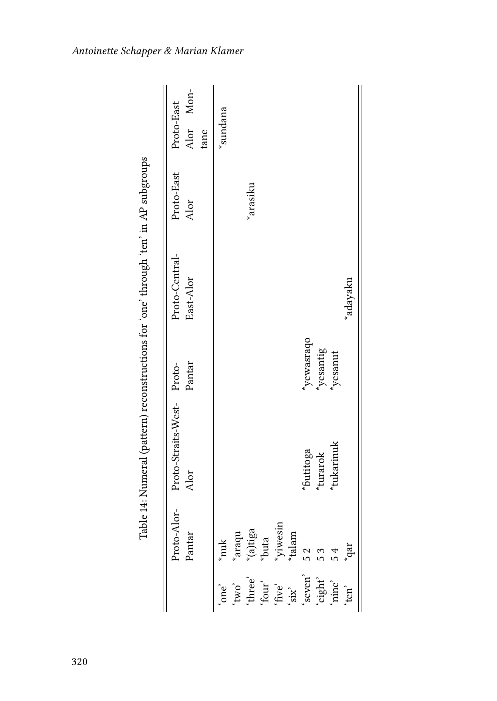|                                                                                     | Alor Mon-<br>Proto-East<br>tane                             | *sundana                                                                                                                                                                   |  |
|-------------------------------------------------------------------------------------|-------------------------------------------------------------|----------------------------------------------------------------------------------------------------------------------------------------------------------------------------|--|
|                                                                                     | Proto-East<br>Alor                                          | 'arasiku                                                                                                                                                                   |  |
|                                                                                     | Proto-Central-<br>East-Alor                                 | *adayaku                                                                                                                                                                   |  |
|                                                                                     | Pantar                                                      | yewasraqo<br>yesantig<br>yesanut                                                                                                                                           |  |
| Table 14: Numeral (pattern) reconstructions for 'one' through 'ten' in AP subgroups | Proto-Alor-<br>Proto-Chroto-Straits-West-<br>Proto-<br>Alor | $*$ tukarinuk<br>*futitoga<br>$*$ turarok                                                                                                                                  |  |
|                                                                                     | Pantar                                                      | 'yiwesin<br>*(a)tiga<br>*araqu<br>*talam<br>*buta<br>nuk*<br>reb,<br>52<br>54                                                                                              |  |
|                                                                                     |                                                             | 'seven'<br>'three'<br>$^{\prime}$ eight $^{\prime}$<br>'nine'<br>$f_{\rm{Out}}$<br>five'<br>$\omega_{\rm H}$<br>'one'<br>$\overrightarrow{\text{six}}$<br>ten <sup>'</sup> |  |

<span id="page-35-0"></span>Table 14: Numeral (pattern) reconstructions for 'one' through 'ten' in AP subgroups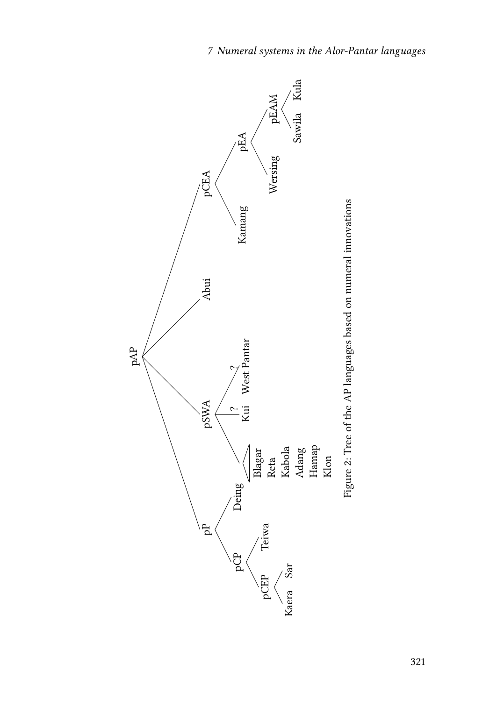<span id="page-36-0"></span>

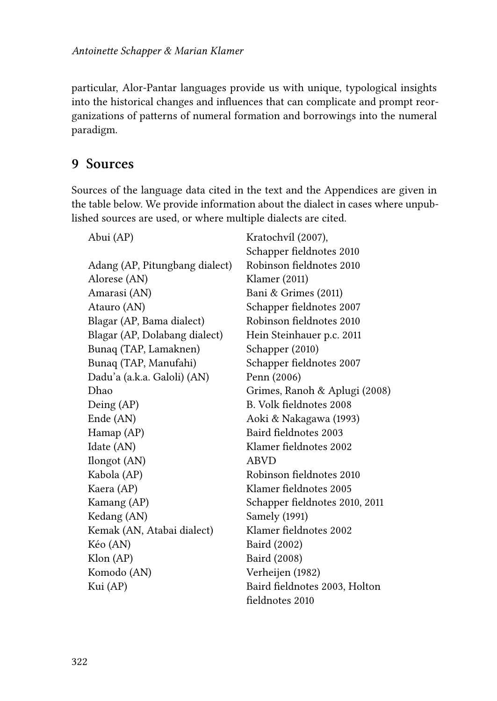particular, Alor-Pantar languages provide us with unique, typological insights into the historical changes and influences that can complicate and prompt reorganizations of patterns of numeral formation and borrowings into the numeral paradigm.

## **9 Sources**

Sources of the language data cited in the text and the Appendices are given in the table below. We provide information about the dialect in cases where unpublished sources are used, or where multiple dialects are cited.

| Abui (AP)                      | Kratochvíl (2007),             |
|--------------------------------|--------------------------------|
|                                | Schapper fieldnotes 2010       |
| Adang (AP, Pitungbang dialect) | Robinson fieldnotes 2010       |
| Alorese (AN)                   | Klamer (2011)                  |
| Amarasi (AN)                   | Bani & Grimes (2011)           |
| Atauro (AN)                    | Schapper fieldnotes 2007       |
| Blagar (AP, Bama dialect)      | Robinson fieldnotes 2010       |
| Blagar (AP, Dolabang dialect)  | Hein Steinhauer p.c. 2011      |
| Bunaq (TAP, Lamaknen)          | Schapper (2010)                |
| Bunaq (TAP, Manufahi)          | Schapper fieldnotes 2007       |
| Dadu'a (a.k.a. Galoli) (AN)    | Penn (2006)                    |
| Dhao                           | Grimes, Ranoh & Aplugi (2008)  |
| Deing (AP)                     | B. Volk fieldnotes 2008        |
| Ende (AN)                      | Aoki & Nakagawa (1993)         |
| Hamap (AP)                     | Baird fieldnotes 2003          |
| Idate (AN)                     | Klamer fieldnotes 2002         |
| Ilongot (AN)                   | <b>ABVD</b>                    |
| Kabola (AP)                    | Robinson fieldnotes 2010       |
| Kaera (AP)                     | Klamer fieldnotes 2005         |
| Kamang (AP)                    | Schapper fieldnotes 2010, 2011 |
| Kedang (AN)                    | Samely (1991)                  |
| Kemak (AN, Atabai dialect)     | Klamer fieldnotes 2002         |
| Kéo (AN)                       | Baird (2002)                   |
| Klon (AP)                      | Baird (2008)                   |
| Komodo (AN)                    | Verheijen (1982)               |
| Kui (AP)                       | Baird fieldnotes 2003, Holton  |
|                                | fieldnotes 2010                |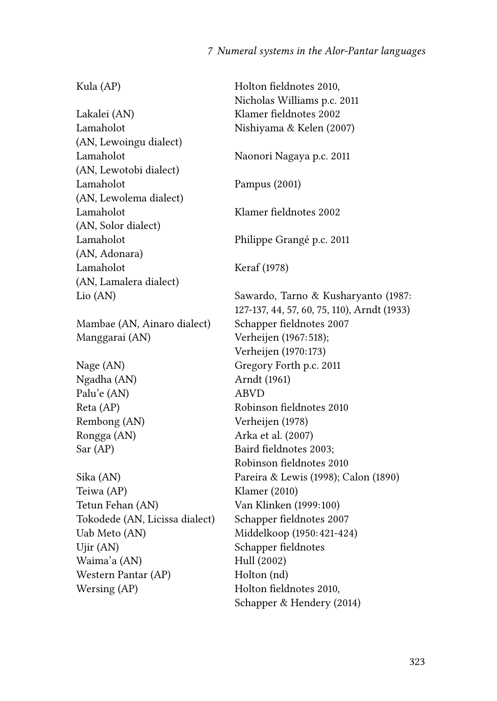## *7 Numeral systems in the Alor-Pantar languages*

| Kula (AP)                      | Holton fieldnotes 2010,<br>Nicholas Williams p.c. 2011 |
|--------------------------------|--------------------------------------------------------|
| Lakalei (AN)                   | Klamer fieldnotes 2002                                 |
| Lamaholot                      | Nishiyama & Kelen (2007)                               |
| (AN, Lewoingu dialect)         |                                                        |
| Lamaholot                      | Naonori Nagaya p.c. 2011                               |
| (AN, Lewotobi dialect)         |                                                        |
| Lamaholot                      | Pampus (2001)                                          |
| (AN, Lewolema dialect)         |                                                        |
| Lamaholot                      | Klamer fieldnotes 2002                                 |
| (AN, Solor dialect)            |                                                        |
| Lamaholot                      | Philippe Grangé p.c. 2011                              |
| (AN, Adonara)                  |                                                        |
| Lamaholot                      | Keraf (1978)                                           |
| (AN, Lamalera dialect)         |                                                        |
| Lio (AN)                       | Sawardo, Tarno & Kusharyanto (1987:                    |
|                                | 127-137, 44, 57, 60, 75, 110), Arndt (1933)            |
| Mambae (AN, Ainaro dialect)    | Schapper fieldnotes 2007                               |
| Manggarai (AN)                 | Verheijen (1967:518);                                  |
|                                | Verheijen (1970:173)                                   |
| Nage (AN)                      | Gregory Forth p.c. 2011                                |
| Ngadha (AN)                    | Arndt (1961)                                           |
| Palu'e (AN)                    | <b>ABVD</b>                                            |
| Reta (AP)                      | Robinson fieldnotes 2010                               |
| Rembong (AN)                   | Verheijen (1978)                                       |
| Rongga (AN)                    | Arka et al. (2007)                                     |
| Sar (AP)                       | Baird fieldnotes 2003;                                 |
|                                | Robinson fieldnotes 2010                               |
| Sika (AN)                      | Pareira & Lewis (1998); Calon (1890)                   |
| Teiwa (AP)                     | Klamer (2010)                                          |
| Tetun Fehan (AN)               | Van Klinken (1999:100)                                 |
| Tokodede (AN, Licissa dialect) | Schapper fieldnotes 2007                               |
| Uab Meto (AN)                  | Middelkoop (1950:421-424)                              |
| Ujir (AN)                      | Schapper fieldnotes                                    |
| Waima'a (AN)                   | Hull (2002)                                            |
| Western Pantar (AP)            | Holton (nd)                                            |
| Wersing (AP)                   | Holton fieldnotes 2010,                                |
|                                | Schapper & Hendery (2014)                              |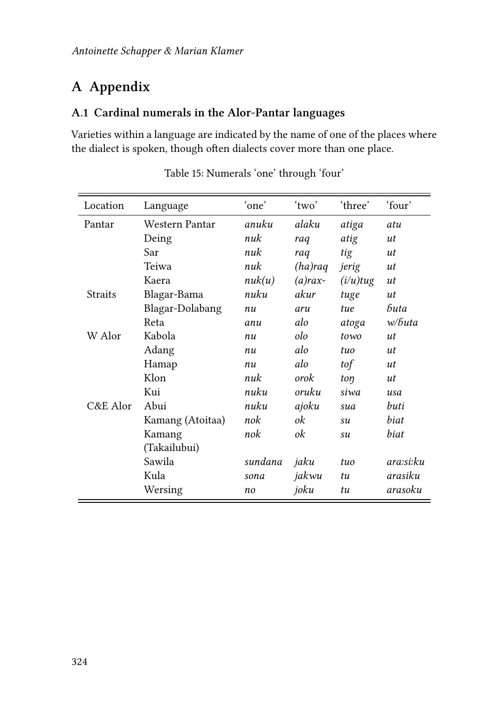## **A Appendix**

### <span id="page-39-0"></span>**A.1 Cardinal numerals in the Alor-Pantar languages**

Varieties within a language are indicated by the name of one of the places where the dialect is spoken, though often dialects cover more than one place.

| Location       | Language         | 'one'    | 'two'      | 'three'                | 'four'      |
|----------------|------------------|----------|------------|------------------------|-------------|
| Pantar         | Western Pantar   | anuku    | alaku      | atiga                  | atu         |
|                | Deing            | nuk      | raq        | atig                   | ut          |
|                | Sar              | nuk      | raq        | tig                    | $u$ t       |
|                | Teiwa            | nuk      | (ha)raq    | jerig                  | ut          |
|                | Kaera            | nuk(u)   | $(a)$ rax- | $(i/u)$ tug            | $u$ t       |
| <b>Straits</b> | Blagar-Bama      | nuku     | akur       | tuge                   | $u$ t       |
|                | Blagar-Dolabang  | nu       | aru        | tue                    | buta        |
|                | Reta             | anu      | alo        | atoga                  | w/buta      |
| W Alor         | Kabola           | nu       | olo        | towo                   | $u$ t       |
|                | Adang            | $n_{1l}$ | alo        | tuo                    | $u$ t       |
|                | Hamap            | nu       | alo        | tof                    | $u$ t       |
|                | Klon             | nuk      | orok       | ton                    | $u$ t       |
|                | Kui              | nuku     | oruku      | siwa                   | usa         |
| $C&E$ Alor     | Abui             | nuku     | ajoku      | sua                    | buti        |
|                | Kamang (Atoitaa) | nok      | ok         | $\mathcal{S}$ <i>U</i> | <i>hiat</i> |
|                | Kamang           | nok      | ok         | su                     | biat        |
|                | (Takailubui)     |          |            |                        |             |
|                | Sawila           | sundana  | jaku       | tuo                    | ara:si:ku   |
|                | Kula             | sona     | jakwu      | tи                     | arasiku     |
|                | Wersing          | no       | joku       | tu                     | arasoku     |

Table 15: Numerals 'one' through 'four'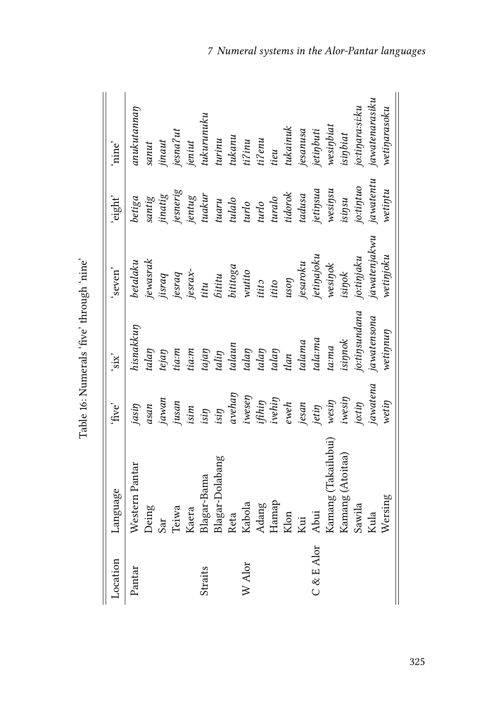| nine'                 | anukutannan             | jinaut<br>sanut | <i>iesna?ut</i>        | jeniut  | tukurunuku  | turinu                                | tukanu    | ti?inu                       | ti?enu                                                                                                                                                | tieu   | tukainuk  | jesanusa | jetinbuti    | wesipbiat          | isinbiat         | jo:tiŋara:si:ku | jawatenarasiku | wetingarasoku |
|-----------------------|-------------------------|-----------------|------------------------|---------|-------------|---------------------------------------|-----------|------------------------------|-------------------------------------------------------------------------------------------------------------------------------------------------------|--------|-----------|----------|--------------|--------------------|------------------|-----------------|----------------|---------------|
| eight'                | betiga                  | santig          | jinatig<br>jesnerig    | jentug  | tuakur      | tuaru                                 | $tulalo$  |                              | $\begin{array}{l} {turlo} \\ {turlo} \end{array}$                                                                                                     | turalo | tidorok   | tadusa   | jetiŋsua     | wesinsu            | isinsu           | io:tintuo       | jawatentu      | wetintu       |
| seven <sup>'</sup>    | betalaku                | jewasrak        | jisraq<br>jesraq       | jesrax- | titu        | <b>Sititu</b>                         | bititoga  | $v$ utito                    | citit                                                                                                                                                 | itito  | $_{loss}$ | jesaroku | jetinajoku   | wesinok            | isinok           | io:tiŋjaku      | jawatenjakwu   | wetinjoku     |
| $\overline{\text{S}}$ | isnakkun                | talaŋ<br>tejaŋ  | tia:m                  | ti a.m  | $taja\eta$  | $\begin{array}{c} talign \end{array}$ |           | talign                       | $\begin{array}{l} talign \ { \ } \\ talign \end{array}$                                                                                               |        | tlan      | talama   | tala:ma      | taxma              | isinnok          | jo:tiŋsundana   | jawatensona    | wetiŋnuŋ      |
| five'                 | jasiŋ                   | asan            | jawan<br>jusan<br>isim |         | isin        |                                       | $a$ vehay | iwesen                       | $\begin{array}{c} \mathrm{if} h\mathrm{i}\eta \\ \mathrm{i} \mathrm{ve} \mathrm{h} \mathrm{i} \eta \\ \mathrm{e} \mathrm{w} \mathrm{e} h \end{array}$ |        |           | jesan    | jetiŋ        | wesij              | iwesin           | jo:tin          | jawatena       | wetin         |
| Language              | Western Pantar<br>Deing | Sar             | Teiwa                  | Kaera   | Blagar-Bama | Blagar-Dolabang                       | Reta      | Kabola                       | Adang                                                                                                                                                 | Hamap  | Klon      | Kui      | Abui         | Kamang (Takailubui | Kamang (Atoitaa) | Sawila          | Kula           | Wersing       |
| Location              | Pantar                  |                 |                        |         | Straits     |                                       |           | $\overline{\mathsf{W}}$ Alor |                                                                                                                                                       |        |           |          | $C & E$ Alor |                    |                  |                 |                |               |

Table 16: Numerals 'five' through 'nine' Table 16: Numerals 'five' through 'nine' *7 Numeral systems in the Alor-Pantar languages*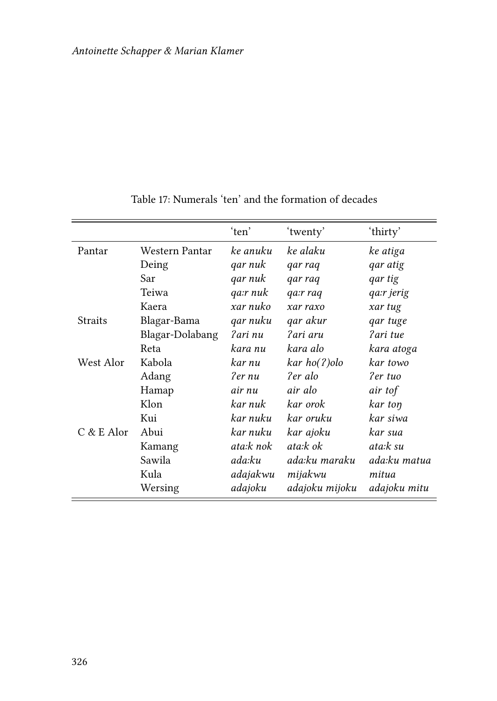|                |                 | 'ten'     | 'twenty'         | 'thirty'        |
|----------------|-----------------|-----------|------------------|-----------------|
| Pantar         | Western Pantar  | ke anuku  | ke alaku         | ke atiga        |
|                | Deing           | qar nuk   | qar raq          | qar atig        |
|                | Sar             | qar nuk   | qar raq          | qar tig         |
|                | Teiwa           | qa:r nuk  | qa:r raq         | qa:r jerig      |
|                | Kaera           | xar nuko  | xar raxo         | xar tug         |
| <b>Straits</b> | Blagar-Bama     | qar nuku  | qar akur         | qar tuge        |
|                | Blagar-Dolabang | ?ari nu   | ?ari aru         | <i>lari</i> tue |
|                | Reta            | kara nu   | kara alo         | kara atoga      |
| West Alor      | Kabola          | kar nu    | $kar\; ho(?)olo$ | kar towo        |
|                | Adang           | ?er nu    | ?er alo          | <i>Per tuo</i>  |
|                | Hamap           | air nu    | air alo          | air tof         |
|                | Klon            | kar nuk   | kar orok         | kar ton         |
|                | Kui             | kar nuku  | kar oruku        | kar siwa        |
| $C & E$ Alor   | Abui            | kar nuku  | kar ajoku        | kar sua         |
|                | Kamang          | ata:k nok | ata:k ok         | ata:k su        |
|                | Sawila          | ada:ku    | ada:ku maraku    | ada:ku matua    |
|                | Kula            | adajakwu  | mijakwu          | mitua           |
|                | Wersing         | adajoku   | adajoku mijoku   | adajoku mitu    |

Table 17: Numerals 'ten' and the formation of decades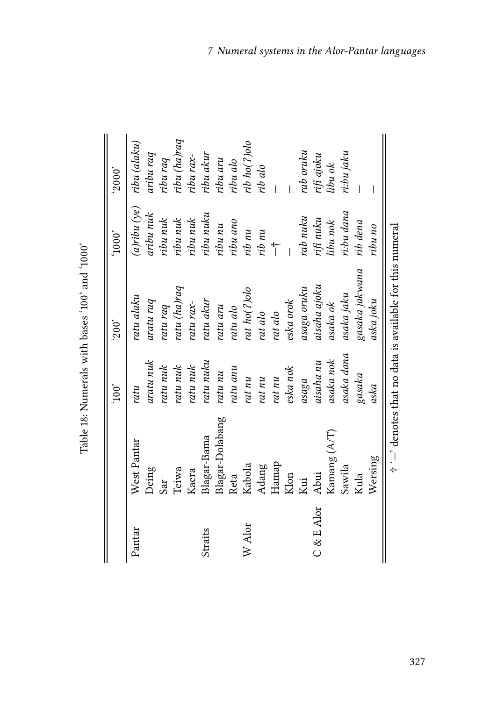| :<br>יומי<br>į                            |  |
|-------------------------------------------|--|
| î                                         |  |
| th hopes.                                 |  |
| ֧֧֧ׅ֧֚֚֚֚֚֚֚֚֚֚֚֚֚֚֚֚֚֚֚֚֚֚֚֚֚֚֚֚֚֚֚֚֟֝֜֝ |  |
|                                           |  |
| ì<br>ر<br>F                               |  |

|              |                 | 000        | $200^\circ$                                                                   | 0001,             | 0000             |
|--------------|-----------------|------------|-------------------------------------------------------------------------------|-------------------|------------------|
| Pantar       | West Pantar     | ratu       | ratu alaku                                                                    | $(a)$ ribu $(ye)$ | ribu (alaku)     |
|              | Deing           | aratu nuk  | aratu raq                                                                     | aribu nuk         | aribu raq        |
|              | Sar             | ratu nuk   | ratu raq                                                                      | ribu nuk          | ribu raq         |
|              | Teiwa           | ratu nuk   | ratu (ha)raq                                                                  | ribu nuk          | $ribu$ $(ha)raq$ |
|              | Kaera           | ratu nuk   | ratu rax-                                                                     | ribu nuk          | ribu rax-        |
| Straits      | Blagar-Bama     | ratu nuku  | ratu akur                                                                     | ribu nuku         | ribu akur        |
|              | Blagar-Dolabang | ratu nu    | ratu aru                                                                      | ribu nu           | ribu aru         |
|              | Reta            | ratu anu   | ratu alo                                                                      | ribu ano          | ribu alo         |
| $\rm W$ Alor | Kabola          | rat nu     | rat ho(?)olo                                                                  | rib nu            | rib ho(?)olo     |
|              | Adang           | rat nu     | rat alo                                                                       | rib nu            | rib alo          |
|              | Hamap           | rat nu     | rat alo                                                                       | $\ddagger$        |                  |
|              | Klon            | eska nok   | eska orok                                                                     |                   |                  |
|              | Kui             | asaga      | asaga oruku                                                                   | rab nuku          | rab oruku        |
| $C & E$ Alor | Abui            | aisaha nu  | aisaha ajoku                                                                  | rifi nuku         | rifi ajoku       |
|              | Kamang (A/T)    | asaka nok  | asaka ok                                                                      | ibu nok           | libu ok          |
|              | Sawila          | asaka dana | asaka jaku                                                                    | ri:bu dana        | ri:bu jaku       |
|              | Kula            | gasaka     | gasaka jakwana                                                                | rib dena          |                  |
|              | Wersing         | aska       | aska joku                                                                     | ribu no           |                  |
|              |                 |            | <sup>+</sup> <sup>'-</sup> denotes that no data is available for this numeral |                   |                  |

## *7 Numeral systems in the Alor-Pantar languages*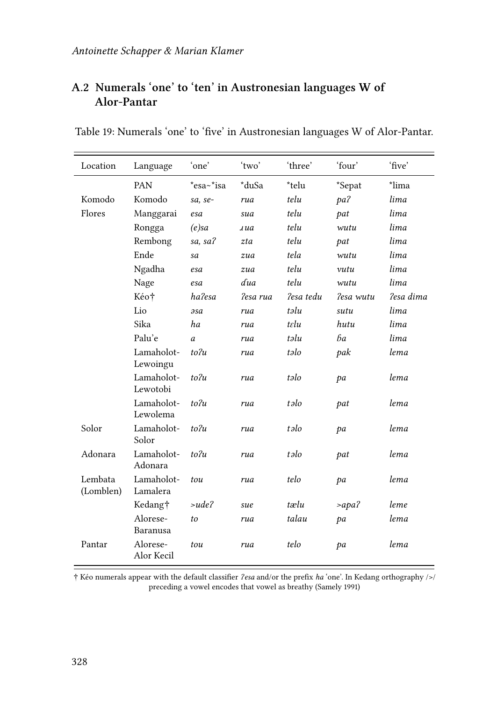## <span id="page-43-0"></span>**A.2 Numerals 'one' to 'ten' in Austronesian languages W of Alor-Pantar**

| Location             | Language               | 'one'            | 'two'    | 'three'   | 'four'              | 'five'    |
|----------------------|------------------------|------------------|----------|-----------|---------------------|-----------|
|                      | PAN                    | $*$ esa~ $*$ isa | *duSa    | *telu     | *Sepat              | *lima     |
| Komodo               | Komodo                 | sa, se-          | rua      | telu      | pa?                 | lima      |
| Flores               | Manggarai              | esa              | sua      | telu      | pat                 | lima      |
|                      | Rongga                 | $(e)$ sa         | лиа      | telu      | wutu                | lima      |
|                      | Rembong                | sa, sa?          | zta      | telu      | pat                 | lima      |
|                      | Ende                   | sa               | zua      | tela      | wutu                | lima      |
|                      | Ngadha                 | esa              | zua      | telu      | vutu                | lima      |
|                      | Nage                   | esa              | dua      | telu      | wutu                | lima      |
|                      | Kéo†                   | ha?esa           | ?esa rua | lesa tedu | lesa wutu           | ?esa dima |
|                      | Lio                    | əsa              | rua      | təlu      | sutu                | lima      |
|                      | Sika                   | ha               | rua      | telu      | hutu                | lima      |
|                      | Palu'e                 | a                | rua      | təlu      | bа                  | lima      |
|                      | Lamaholot-<br>Lewoingu | to?u             | rua      | təlo      | pak                 | lema      |
|                      | Lamaholot-<br>Lewotobi | to?u             | rua      | təlo      | pa                  | lema      |
|                      | Lamaholot-<br>Lewolema | to?u             | rua      | təlo      | pat                 | lema      |
| Solor                | Lamaholot-<br>Solor    | to?u             | rua      | təlo      | pa                  | lema      |
| Adonara              | Lamaholot-<br>Adonara  | to?u             | rua      | təlo      | pat                 | lema      |
| Lembata<br>(Lomblen) | Lamaholot-<br>Lamalera | tou              | rua      | telo      | pa                  | lema      |
|                      | Kedang†                | $>$ ude $\gamma$ | sue      | tælu      | $\geq$ apa $\alpha$ | leme      |
|                      | Alorese-<br>Baranusa   | to               | rua      | talau     | pa                  | lema      |
| Pantar               | Alorese-<br>Alor Kecil | tou              | rua      | telo      | pa                  | lema      |

Table 19: Numerals 'one' to 'five' in Austronesian languages W of Alor-Pantar.

† Kéo numerals appear with the default classifier *ʔ esa* and/or the prefix *ha* 'one'. In Kedang orthography />/ preceding a vowel encodes that vowel as breathy [\(Samely 1991\)](#page-50-8)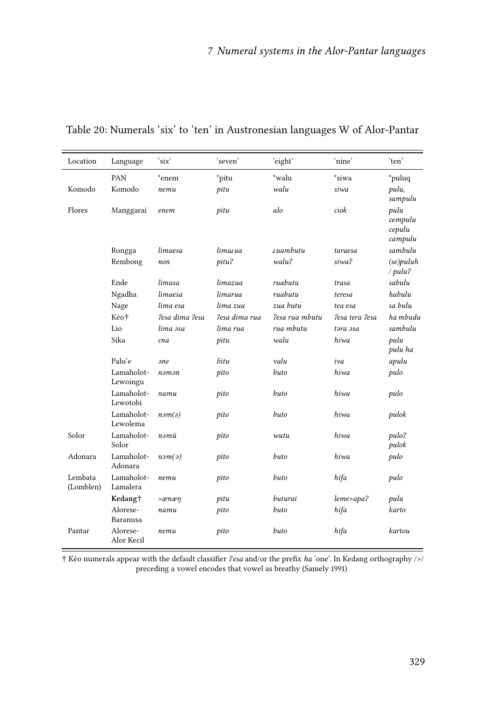| Location             | Language               | 'six'              | 'seven'        | 'eight'                       | 'nine'         | 'ten'                                |
|----------------------|------------------------|--------------------|----------------|-------------------------------|----------------|--------------------------------------|
|                      | PAN                    | *enem              | *pitu          | *walu                         | *siwa          | *puluq                               |
| Komodo               | Komodo                 | пети               | pitu           | walu                          | siwa           | pulu,<br>sampulu                     |
| Flores               | Manggarai              | enem               | pitu           | alo                           | ciok           | pulu<br>cempulu<br>cepulu<br>campulu |
|                      | Rongga                 | limaesa            | <i>limaiua</i> | <i><u><b>xuambutu</b></u></i> | taraesa        | sambulu                              |
|                      | Rembong                | non                | pitu?          | walu?                         | siwa?          | $(se)$ puluh<br>$/$ pulu $\eta$      |
|                      | Ende                   | limasa             | limazua        | ruabutu                       | trasa          | sabulu                               |
|                      | Ngadha                 | limaesa            | limarua        | ruabutu                       | teresa         | habulu                               |
|                      | Nage                   | lima esa           | lima zua       | zua butu                      | tea esa        | sa bulu                              |
|                      | Kéo†                   | ?esa dima ?esa     | ?esa dima rua  | ?esa rua mbutu                | Tesa tera Tesa | ha mbudu                             |
|                      | Lio                    | lima əsa           | lima rua       | rua mbutu                     | tara asa       | sambulu                              |
|                      | Sika                   | ena                | pitu           | walu                          | hiwa           | pulu<br>pulu ha                      |
|                      | Palu'e                 | ane                | bitu           | valu                          | iva            | apulu                                |
|                      | Lamaholot-<br>Lewoingu | nəmən              | pito           | buto                          | hiwa           | pulo                                 |
|                      | Lamaholot-<br>Lewotobi | namu               | pito           | buto                          | hiwa           | pulo                                 |
|                      | Lamaholot-<br>Lewolema | nom(a)             | pito           | buto                          | hiwa           | pulok                                |
| Solor                | Lamaholot-<br>Solor    | nəmũ               | pito           | wutu                          | hiwa           | pulo?<br>pulok                       |
| Adonara              | Lamaholot-<br>Adonara  | nom(a)             | pito           | buto                          | hiwa           | pulo                                 |
| Lembata<br>(Lomblen) | Lamaholot-<br>Lamalera | nemu               | pito           | buto                          | hifa           | pulo                                 |
|                      | Kedang†                | $\geq$ <i>anan</i> | pitu           | buturai                       | leme>apa?      | pulu                                 |
|                      | Alorese-<br>Baranusa   | namu               | pito           | buto                          | hifa           | karto                                |
| Pantar               | Alorese-<br>Alor Kecil | пети               | pito           | buto                          | hifa           | kartou                               |

Table 20: Numerals 'six' to 'ten' in Austronesian languages W of Alor-Pantar

† Kéo numerals appear with the default classifier *ʔ esa* and/or the prefix *ha* 'one'. In Kedang orthography />/ preceding a vowel encodes that vowel as breathy([Samely 1991](#page-50-8))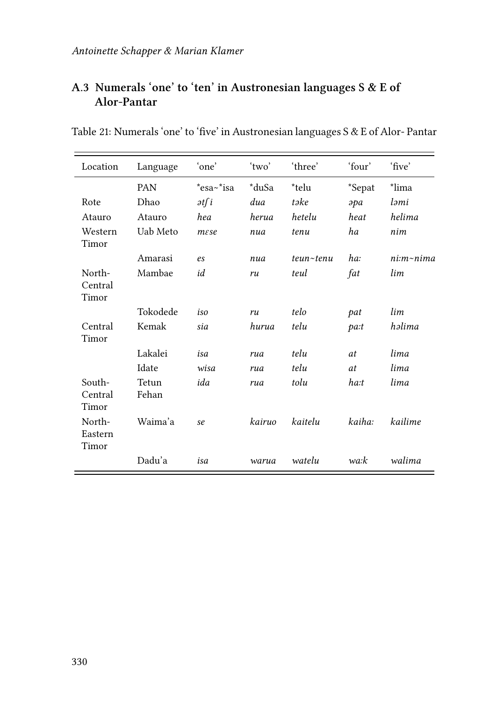### <span id="page-45-0"></span>**A.3 Numerals 'one' to 'ten' in Austronesian languages S & E of Alor-Pantar**

| Location                   | Language       | 'one'            | 'two'  | 'three'         | 'four'        | 'five'              |
|----------------------------|----------------|------------------|--------|-----------------|---------------|---------------------|
|                            | PAN            | $*$ esa~ $*$ isa | *duSa  | *telu           | *Sepat        | $*$ lima            |
| Rote                       | Dhao           | $\partial f$ i   | dua    | təke            | $\partial pa$ | ləmi                |
| Atauro                     | Atauro         | hea              | herua  | hetelu          | heat          | helima              |
| Western<br>Timor           | Uab Meto       | $m\epsilon$ se   | nua    | tenu            | ha            | nim                 |
|                            | Amarasi        | es               | nua    | $teun$ - $tenu$ | ha:           | $n$ <i>i:m~nima</i> |
| North-<br>Central<br>Timor | Mambae         | id               | ru     | teul            | fat           | lim                 |
|                            | Tokodede       | iso              | ru     | telo            | pat           | lim                 |
| Central<br>Timor           | Kemak          | sia              | hurua  | telu            | pa:t          | həlima              |
|                            | Lakalei        | isa              | rua    | telu            | at            | lima                |
|                            | Idate          | wisa             | rua    | telu            | <i>at</i>     | lima                |
| South-<br>Central<br>Timor | Tetun<br>Fehan | ida              | rua    | tolu            | ha:t          | lima                |
| North-<br>Eastern<br>Timor | Waima'a        | se               | kairuo | kaitelu         | kaiha:        | kailime             |
|                            | Dadu'a         | isa              | warua  | watelu          | wa:k          | walima              |

Table 21: Numerals 'one' to 'five' in Austronesian languages S & E of Alor- Pantar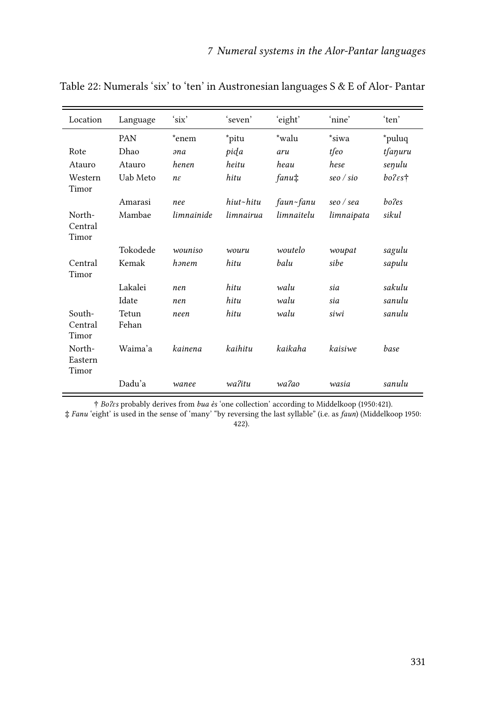| Location                   | Language       | 'six'          | 'seven'   | 'eight'    | 'nine'            | ʻten'                  |
|----------------------------|----------------|----------------|-----------|------------|-------------------|------------------------|
|                            | PAN            | *enem          | *pitu     | *walu      | *siwa             | *puluq                 |
| Rote                       | Dhao           | əna            | pida      | aru        | tfeo              | <i>tfanuru</i>         |
| Atauro                     | Atauro         | henen          | heitu     | heau       | hese              | senulu                 |
| Western<br>Timor           | Uab Meto       | $n\varepsilon$ | hitu      | $fanu$ ‡   | $\frac{1}{2}$ sio | $bo7$ $\varepsilon$ st |
|                            | Amarasi        | nee            | hiut~hitu | faun~fanu  | seo / sea         | bo?es                  |
| North-<br>Central<br>Timor | Mambae         | limnainide     | limnairua | limnaitelu | limnaipata        | sikul                  |
|                            | Tokodede       | wouniso        | wouru     | woutelo    | woupat            | sagulu                 |
| Central<br>Timor           | Kemak          | hənem          | hitu      | balu       | sibe              | sapulu                 |
|                            | Lakalei        | nen            | hitu      | walu       | sia               | sakulu                 |
|                            | Idate          | nen            | hitu      | walu       | sia               | sanulu                 |
| South-<br>Central<br>Timor | Tetun<br>Fehan | neen           | hitu      | walu       | siwi              | sanulu                 |
| North-<br>Eastern<br>Timor | Waima'a        | kainena        | kaihitu   | kaikaha    | kaisiwe           | base                   |
|                            | Dadu'a         | wanee          | wa?itu    | wa?ao      | wasia             | sanulu                 |

Table 22: Numerals 'six' to 'ten' in Austronesian languages S & E of Alor- Pantar

† *Boʔεs* probably derives from *bua ès* 'one collection' according to [Middelkoop \(1950](#page-50-14):421).

‡ *Fanu* 'eight' is used in the sense of 'many' "by reversing the last syllable" (i.e. as *faun*)([Middelkoop 1950:](#page-50-14) 422).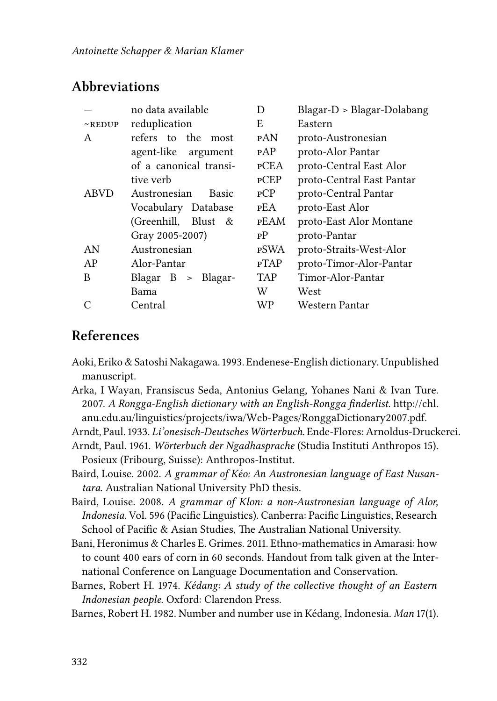### **Abbreviations**

|               | no data available      | D           | $Blagar-D > Blagar-Dolabang$ |
|---------------|------------------------|-------------|------------------------------|
| $~\sim$ REDUP | reduplication          | E           | Eastern                      |
| A             | refers to the<br>most  | <b>PAN</b>  | proto-Austronesian           |
|               | agent-like<br>argument | <b>PAP</b>  | proto-Alor Pantar            |
|               | of a canonical transi- | <b>PCEA</b> | proto-Central East Alor      |
|               | tive verb              | <b>PCEP</b> | proto-Central East Pantar    |
| ABVD          | Austronesian<br>Basic  | PCP         | proto-Central Pantar         |
|               | Vocabulary Database    | PEA.        | proto-East Alor              |
|               | (Greenhill, Blust &    | <b>PEAM</b> | proto-East Alor Montane      |
|               | Gray 2005-2007)        | $_{\rm PP}$ | proto-Pantar                 |
| AN            | Austronesian           | <b>PSWA</b> | proto-Straits-West-Alor      |
| AP            | Alor-Pantar            | <b>PTAP</b> | proto-Timor-Alor-Pantar      |
| B             | Blagar B > Blagar-     | <b>TAP</b>  | Timor-Alor-Pantar            |
|               | Bama                   | W           | West                         |
|               | Central                | WP          | Western Pantar               |

## **References**

- <span id="page-47-4"></span>Aoki, Eriko & Satoshi Nakagawa. 1993. Endenese-English dictionary. Unpublished manuscript.
- <span id="page-47-8"></span>Arka, I Wayan, Fransiscus Seda, Antonius Gelang, Yohanes Nani & Ivan Ture. 2007. *A Rongga-English dictionary with an English-Rongga finderlist*. [http://chl.](http://chl.anu.edu.au/linguistics/projects/iwa/Web-Pages/RonggaDictionary2007.pdf) [anu.edu.au/linguistics/projects/iwa/Web-Pages/RonggaDictionary2007.pdf.](http://chl.anu.edu.au/linguistics/projects/iwa/Web-Pages/RonggaDictionary2007.pdf)

<span id="page-47-6"></span>Arndt, Paul. 1933. *Li'onesisch-Deutsches Wörterbuch*. Ende-Flores: Arnoldus-Druckerei.

- <span id="page-47-7"></span>Arndt, Paul. 1961. *Wörterbuch der Ngadhasprache* (Studia Instituti Anthropos 15). Posieux (Fribourg, Suisse): Anthropos-Institut.
- <span id="page-47-5"></span>Baird, Louise. 2002. *A grammar of Kéo: An Austronesian language of East Nusantara*. Australian National University PhD thesis.
- <span id="page-47-1"></span>Baird, Louise. 2008. *A grammar of Klon: a non-Austronesian language of Alor, Indonesia*. Vol. 596 (Pacific Linguistics). Canberra: Pacific Linguistics, Research School of Pacific & Asian Studies, The Australian National University.
- <span id="page-47-3"></span>Bani, Heronimus & Charles E. Grimes. 2011. Ethno-mathematics in Amarasi: how to count 400 ears of corn in 60 seconds. Handout from talk given at the International Conference on Language Documentation and Conservation.
- <span id="page-47-2"></span>Barnes, Robert H. 1974. *Kédang: A study of the collective thought of an Eastern Indonesian people*. Oxford: Clarendon Press.
- <span id="page-47-0"></span>Barnes, Robert H. 1982. Number and number use in Kédang, Indonesia. *Man* 17(1).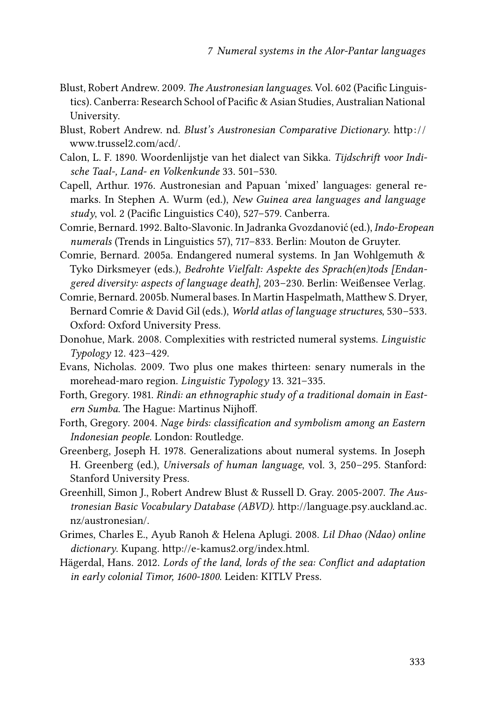- <span id="page-48-5"></span>Blust, Robert Andrew. 2009. *The Austronesian languages*. Vol. 602 (Pacific Linguistics). Canberra: Research School of Pacific & Asian Studies, Australian National University.
- <span id="page-48-7"></span>Blust, Robert Andrew. nd. *Blust's Austronesian Comparative Dictionary*. [http: / /](http://www.trussel2.com/acd/) [www.trussel2.com/acd/.](http://www.trussel2.com/acd/)
- <span id="page-48-13"></span>Calon, L. F. 1890. Woordenlijstje van het dialect van Sikka. *Tijdschrift voor Indische Taal-, Land- en Volkenkunde* 33. 501–530.
- <span id="page-48-10"></span>Capell, Arthur. 1976. Austronesian and Papuan 'mixed' languages: general remarks. In Stephen A. Wurm (ed.), *New Guinea area languages and language study*, vol. 2 (Pacific Linguistics C40), 527–579. Canberra.
- <span id="page-48-6"></span>Comrie, Bernard. 1992. Balto-Slavonic. In Jadranka Gvozdanović (ed.), *Indo-Eropean numerals* (Trends in Linguistics 57), 717–833. Berlin: Mouton de Gruyter.
- <span id="page-48-0"></span>Comrie, Bernard. 2005a. Endangered numeral systems. In Jan Wohlgemuth & Tyko Dirksmeyer (eds.), *Bedrohte Vielfalt: Aspekte des Sprach(en)tods [Endangered diversity: aspects of language death]*, 203–230. Berlin: Weißensee Verlag.
- <span id="page-48-3"></span>Comrie, Bernard. 2005b. Numeral bases. In Martin Haspelmath, Matthew S. Dryer, Bernard Comrie & David Gil (eds.), *World atlas of language structures*, 530–533. Oxford: Oxford University Press.
- <span id="page-48-1"></span>Donohue, Mark. 2008. Complexities with restricted numeral systems. *Linguistic Typology* 12. 423–429.
- <span id="page-48-2"></span>Evans, Nicholas. 2009. Two plus one makes thirteen: senary numerals in the morehead-maro region. *Linguistic Typology* 13. 321–335.
- <span id="page-48-9"></span>Forth, Gregory. 1981. *Rindi: an ethnographic study of a traditional domain in Eastern Sumba*. The Hague: Martinus Nijhoff.
- <span id="page-48-8"></span>Forth, Gregory. 2004. *Nage birds: classification and symbolism among an Eastern Indonesian people*. London: Routledge.
- <span id="page-48-4"></span>Greenberg, Joseph H. 1978. Generalizations about numeral systems. In Joseph H. Greenberg (ed.), *Universals of human language*, vol. 3, 250–295. Stanford: Stanford University Press.
- <span id="page-48-14"></span>Greenhill, Simon J., Robert Andrew Blust & Russell D. Gray. 2005-2007. *The Austronesian Basic Vocabulary Database (ABVD)*. [http://language.psy.auckland.ac.](http://language.psy.auckland.ac.nz/austronesian/) [nz/austronesian/.](http://language.psy.auckland.ac.nz/austronesian/)
- <span id="page-48-12"></span>Grimes, Charles E., Ayub Ranoh & Helena Aplugi. 2008. *Lil Dhao (Ndao) online dictionary*. Kupang. [http://e-kamus2.org/index.html.](http://e-kamus2.org/index.html)
- <span id="page-48-11"></span>Hägerdal, Hans. 2012. *Lords of the land, lords of the sea: Conflict and adaptation in early colonial Timor, 1600-1800*. Leiden: KITLV Press.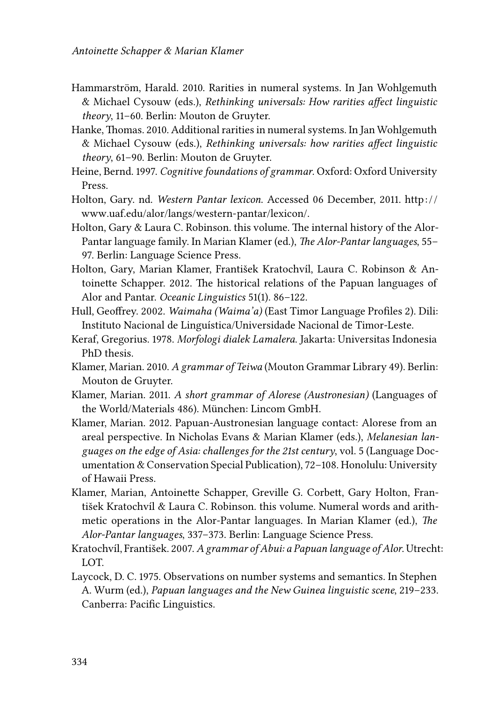- <span id="page-49-1"></span>Hammarström, Harald. 2010. Rarities in numeral systems. In Jan Wohlgemuth & Michael Cysouw (eds.), *Rethinking universals: How rarities affect linguistic theory*, 11–60. Berlin: Mouton de Gruyter.
- <span id="page-49-8"></span>Hanke, Thomas. 2010. Additional rarities in numeral systems. In Jan Wohlgemuth & Michael Cysouw (eds.), *Rethinking universals: how rarities affect linguistic theory*, 61–90. Berlin: Mouton de Gruyter.
- <span id="page-49-4"></span>Heine, Bernd. 1997. *Cognitive foundations of grammar*. Oxford: Oxford University Press.
- <span id="page-49-13"></span>Holton, Gary. nd. *Western Pantar lexicon*. Accessed 06 December, 2011. [http: / /](http://www.uaf.edu/alor/langs/western-pantar/lexicon/) [www.uaf.edu/alor/langs/western-pantar/lexicon/](http://www.uaf.edu/alor/langs/western-pantar/lexicon/).
- <span id="page-49-3"></span>Holton, Gary & Laura C. Robinson. this volume. The internal history of the Alor-Pantar language family. In Marian Klamer (ed.), *The Alor-Pantar languages*, 55– 97. Berlin: Language Science Press.
- <span id="page-49-2"></span>Holton, Gary, Marian Klamer, František Kratochvíl, Laura C. Robinson & Antoinette Schapper. 2012. The historical relations of the Papuan languages of Alor and Pantar. *Oceanic Linguistics* 51(1). 86–122.
- <span id="page-49-12"></span>Hull, Geoffrey. 2002. *Waimaha (Waima'a)* (East Timor Language Profiles 2). Dili: Instituto Nacional de Linguística/Universidade Nacional de Timor-Leste.
- <span id="page-49-11"></span>Keraf, Gregorius. 1978. *Morfologi dialek Lamalera*. Jakarta: Universitas Indonesia PhD thesis.
- <span id="page-49-5"></span>Klamer, Marian. 2010. *A grammar of Teiwa* (Mouton Grammar Library 49). Berlin: Mouton de Gruyter.
- <span id="page-49-6"></span>Klamer, Marian. 2011. *A short grammar of Alorese (Austronesian)* (Languages of the World/Materials 486). München: Lincom GmbH.
- <span id="page-49-9"></span>Klamer, Marian. 2012. Papuan-Austronesian language contact: Alorese from an areal perspective. In Nicholas Evans & Marian Klamer (eds.), *Melanesian languages on the edge of Asia: challenges for the 21st century*, vol. 5 (Language Documentation & Conservation Special Publication), 72–108. Honolulu: University of Hawaii Press.
- <span id="page-49-7"></span>Klamer, Marian, Antoinette Schapper, Greville G. Corbett, Gary Holton, František Kratochvíl & Laura C. Robinson. this volume. Numeral words and arithmetic operations in the Alor-Pantar languages. In Marian Klamer (ed.), *The Alor-Pantar languages*, 337–373. Berlin: Language Science Press.
- <span id="page-49-10"></span>Kratochvíl, František. 2007. *A grammar of Abui: a Papuan language of Alor*. Utrecht: LOT.
- <span id="page-49-0"></span>Laycock, D. C. 1975. Observations on number systems and semantics. In Stephen A. Wurm (ed.), *Papuan languages and the New Guinea linguistic scene*, 219–233. Canberra: Pacific Linguistics.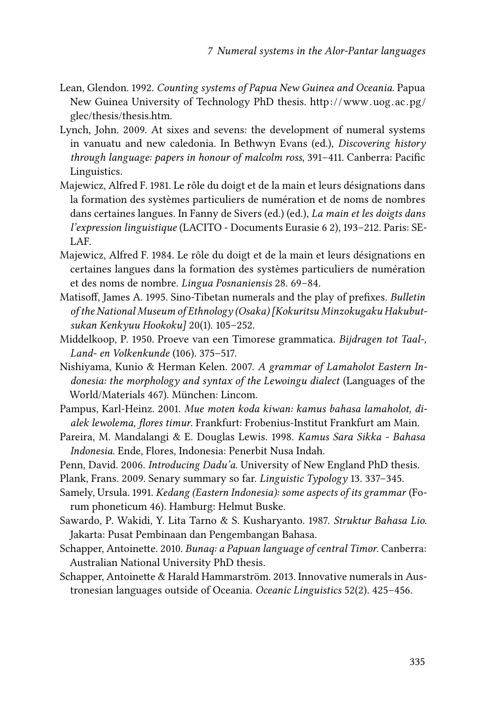- <span id="page-50-0"></span>Lean, Glendon. 1992. *Counting systems of Papua New Guinea and Oceania*. Papua New Guinea University of Technology PhD thesis. [http: / /www.uog.ac.pg /](http://www.uog.ac.pg/glec/thesis/thesis.htm) [glec/thesis/thesis.htm.](http://www.uog.ac.pg/glec/thesis/thesis.htm)
- <span id="page-50-4"></span>Lynch, John. 2009. At sixes and sevens: the development of numeral systems in vanuatu and new caledonia. In Bethwyn Evans (ed.), *Discovering history through language: papers in honour of malcolm ross*, 391–411. Canberra: Pacific Linguistics.
- <span id="page-50-2"></span>Majewicz, Alfred F. 1981. Le rôle du doigt et de la main et leurs désignations dans la formation des systèmes particuliers de numération et de noms de nombres dans certaines langues. In Fanny de Sivers (ed.) (ed.), *La main et les doigts dans l'expression linguistique* (LACITO - Documents Eurasie 6 2), 193–212. Paris: SE-LAF.
- <span id="page-50-3"></span>Majewicz, Alfred F. 1984. Le rôle du doigt et de la main et leurs désignations en certaines langues dans la formation des systèmes particuliers de numération et des noms de nombre. *Lingua Posnaniensis* 28. 69–84.
- <span id="page-50-1"></span>Matisoff, James A. 1995. Sino-Tibetan numerals and the play of prefixes. *Bulletin of the National Museum of Ethnology (Osaka) [Kokuritsu Minzokugaku Hakubutsukan Kenkyuu Hookoku]* 20(1). 105–252.
- <span id="page-50-14"></span>Middelkoop, P. 1950. Proeve van een Timorese grammatica. *Bijdragen tot Taal-, Land- en Volkenkunde* (106). 375–517.
- <span id="page-50-10"></span>Nishiyama, Kunio & Herman Kelen. 2007. *A grammar of Lamaholot Eastern Indonesia: the morphology and syntax of the Lewoingu dialect* (Languages of the World/Materials 467). München: Lincom.
- <span id="page-50-11"></span>Pampus, Karl-Heinz. 2001. *Mue moten koda kiwan: kamus bahasa lamaholot, dialek lewolema, flores timur*. Frankfurt: Frobenius-Institut Frankfurt am Main.
- <span id="page-50-13"></span>Pareira, M. Mandalangi & E. Douglas Lewis. 1998. *Kamus Sara Sikka - Bahasa Indonesia*. Ende, Flores, Indonesia: Penerbit Nusa Indah.
- <span id="page-50-9"></span>Penn, David. 2006. *Introducing Dadu'a*. University of New England PhD thesis.
- <span id="page-50-5"></span>Plank, Frans. 2009. Senary summary so far. *Linguistic Typology* 13. 337–345.
- <span id="page-50-8"></span>Samely, Ursula. 1991. *Kedang (Eastern Indonesia): some aspects of its grammar* (Forum phoneticum 46). Hamburg: Helmut Buske.
- <span id="page-50-12"></span>Sawardo, P. Wakidi, Y. Lita Tarno & S. Kusharyanto. 1987. *Struktur Bahasa Lio*. Jakarta: Pusat Pembinaan dan Pengembangan Bahasa.
- <span id="page-50-6"></span>Schapper, Antoinette. 2010. *Bunaq: a Papuan language of central Timor*. Canberra: Australian National University PhD thesis.
- <span id="page-50-7"></span>Schapper, Antoinette & Harald Hammarström. 2013. Innovative numerals in Austronesian languages outside of Oceania. *Oceanic Linguistics* 52(2). 425–456.